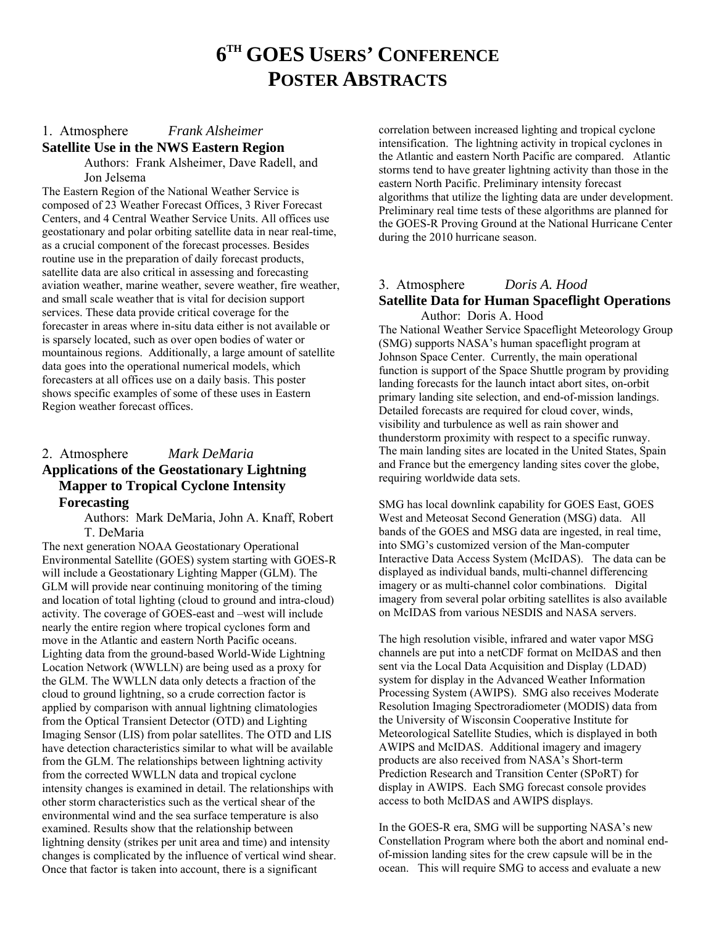# **6TH GOES USERS' CONFERENCE POSTER ABSTRACTS**

# 1. Atmosphere *Frank Alsheimer* **Satellite Use in the NWS Eastern Region**

Authors: Frank Alsheimer, Dave Radell, and Jon Jelsema

The Eastern Region of the National Weather Service is composed of 23 Weather Forecast Offices, 3 River Forecast Centers, and 4 Central Weather Service Units. All offices use geostationary and polar orbiting satellite data in near real-time, as a crucial component of the forecast processes. Besides routine use in the preparation of daily forecast products, satellite data are also critical in assessing and forecasting aviation weather, marine weather, severe weather, fire weather, and small scale weather that is vital for decision support services. These data provide critical coverage for the forecaster in areas where in-situ data either is not available or is sparsely located, such as over open bodies of water or mountainous regions. Additionally, a large amount of satellite data goes into the operational numerical models, which forecasters at all offices use on a daily basis. This poster shows specific examples of some of these uses in Eastern Region weather forecast offices.

# 2. Atmosphere *Mark DeMaria* **Applications of the Geostationary Lightning Mapper to Tropical Cyclone Intensity Forecasting**

Authors: Mark DeMaria, John A. Knaff, Robert T. DeMaria

The next generation NOAA Geostationary Operational Environmental Satellite (GOES) system starting with GOES-R will include a Geostationary Lighting Mapper (GLM). The GLM will provide near continuing monitoring of the timing and location of total lighting (cloud to ground and intra-cloud) activity. The coverage of GOES-east and –west will include nearly the entire region where tropical cyclones form and move in the Atlantic and eastern North Pacific oceans. Lighting data from the ground-based World-Wide Lightning Location Network (WWLLN) are being used as a proxy for the GLM. The WWLLN data only detects a fraction of the cloud to ground lightning, so a crude correction factor is applied by comparison with annual lightning climatologies from the Optical Transient Detector (OTD) and Lighting Imaging Sensor (LIS) from polar satellites. The OTD and LIS have detection characteristics similar to what will be available from the GLM. The relationships between lightning activity from the corrected WWLLN data and tropical cyclone intensity changes is examined in detail. The relationships with other storm characteristics such as the vertical shear of the environmental wind and the sea surface temperature is also examined. Results show that the relationship between lightning density (strikes per unit area and time) and intensity changes is complicated by the influence of vertical wind shear. Once that factor is taken into account, there is a significant

correlation between increased lighting and tropical cyclone intensification. The lightning activity in tropical cyclones in the Atlantic and eastern North Pacific are compared. Atlantic storms tend to have greater lightning activity than those in the eastern North Pacific. Preliminary intensity forecast algorithms that utilize the lighting data are under development. Preliminary real time tests of these algorithms are planned for the GOES-R Proving Ground at the National Hurricane Center during the 2010 hurricane season.

### 3. Atmosphere *Doris A. Hood* **Satellite Data for Human Spaceflight Operations**  Author: Doris A. Hood

The National Weather Service Spaceflight Meteorology Group (SMG) supports NASA's human spaceflight program at Johnson Space Center. Currently, the main operational function is support of the Space Shuttle program by providing landing forecasts for the launch intact abort sites, on-orbit primary landing site selection, and end-of-mission landings. Detailed forecasts are required for cloud cover, winds, visibility and turbulence as well as rain shower and thunderstorm proximity with respect to a specific runway. The main landing sites are located in the United States, Spain and France but the emergency landing sites cover the globe, requiring worldwide data sets.

SMG has local downlink capability for GOES East, GOES West and Meteosat Second Generation (MSG) data. All bands of the GOES and MSG data are ingested, in real time, into SMG's customized version of the Man-computer Interactive Data Access System (McIDAS). The data can be displayed as individual bands, multi-channel differencing imagery or as multi-channel color combinations. Digital imagery from several polar orbiting satellites is also available on McIDAS from various NESDIS and NASA servers.

The high resolution visible, infrared and water vapor MSG channels are put into a netCDF format on McIDAS and then sent via the Local Data Acquisition and Display (LDAD) system for display in the Advanced Weather Information Processing System (AWIPS). SMG also receives Moderate Resolution Imaging Spectroradiometer (MODIS) data from the University of Wisconsin Cooperative Institute for Meteorological Satellite Studies, which is displayed in both AWIPS and McIDAS. Additional imagery and imagery products are also received from NASA's Short-term Prediction Research and Transition Center (SPoRT) for display in AWIPS. Each SMG forecast console provides access to both McIDAS and AWIPS displays.

In the GOES-R era, SMG will be supporting NASA's new Constellation Program where both the abort and nominal endof-mission landing sites for the crew capsule will be in the ocean. This will require SMG to access and evaluate a new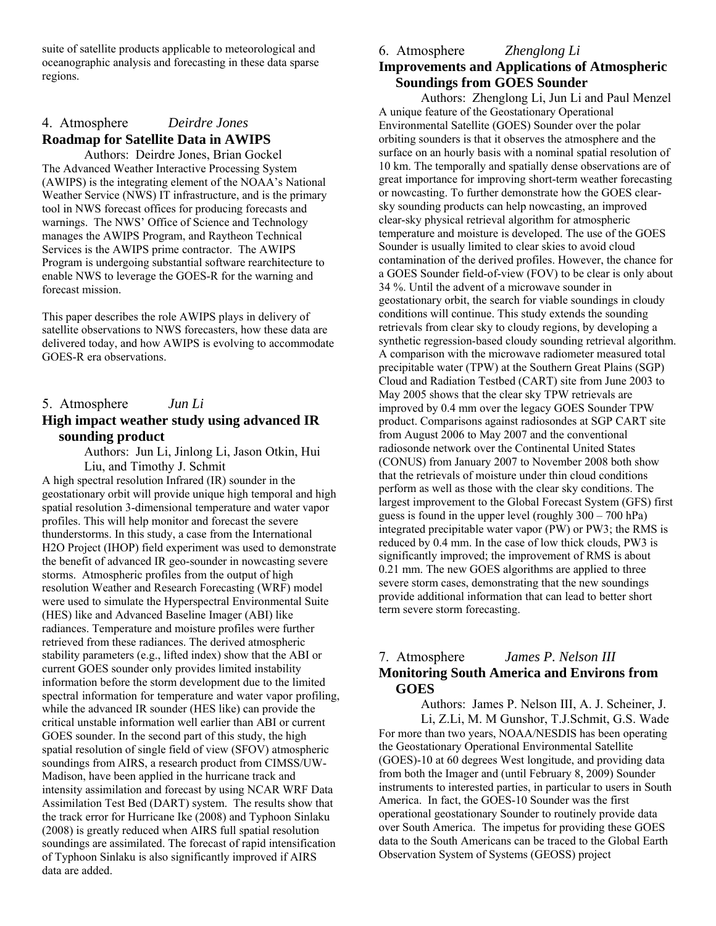suite of satellite products applicable to meteorological and oceanographic analysis and forecasting in these data sparse regions.

# 4. Atmosphere *Deirdre Jones* **Roadmap for Satellite Data in AWIPS**

Authors: Deirdre Jones, Brian Gockel The Advanced Weather Interactive Processing System (AWIPS) is the integrating element of the NOAA's National Weather Service (NWS) IT infrastructure, and is the primary tool in NWS forecast offices for producing forecasts and warnings. The NWS' Office of Science and Technology manages the AWIPS Program, and Raytheon Technical Services is the AWIPS prime contractor. The AWIPS Program is undergoing substantial software rearchitecture to enable NWS to leverage the GOES-R for the warning and forecast mission.

This paper describes the role AWIPS plays in delivery of satellite observations to NWS forecasters, how these data are delivered today, and how AWIPS is evolving to accommodate GOES-R era observations.

### 5. Atmosphere *Jun Li* **High impact weather study using advanced IR sounding product**

Authors: Jun Li, Jinlong Li, Jason Otkin, Hui Liu, and Timothy J. Schmit

A high spectral resolution Infrared (IR) sounder in the geostationary orbit will provide unique high temporal and high spatial resolution 3-dimensional temperature and water vapor profiles. This will help monitor and forecast the severe thunderstorms. In this study, a case from the International H2O Project (IHOP) field experiment was used to demonstrate the benefit of advanced IR geo-sounder in nowcasting severe storms. Atmospheric profiles from the output of high resolution Weather and Research Forecasting (WRF) model were used to simulate the Hyperspectral Environmental Suite (HES) like and Advanced Baseline Imager (ABI) like radiances. Temperature and moisture profiles were further retrieved from these radiances. The derived atmospheric stability parameters (e.g., lifted index) show that the ABI or current GOES sounder only provides limited instability information before the storm development due to the limited spectral information for temperature and water vapor profiling, while the advanced IR sounder (HES like) can provide the critical unstable information well earlier than ABI or current GOES sounder. In the second part of this study, the high spatial resolution of single field of view (SFOV) atmospheric soundings from AIRS, a research product from CIMSS/UW-Madison, have been applied in the hurricane track and intensity assimilation and forecast by using NCAR WRF Data Assimilation Test Bed (DART) system. The results show that the track error for Hurricane Ike (2008) and Typhoon Sinlaku (2008) is greatly reduced when AIRS full spatial resolution soundings are assimilated. The forecast of rapid intensification of Typhoon Sinlaku is also significantly improved if AIRS data are added.

# 6. Atmosphere *Zhenglong Li* **Improvements and Applications of Atmospheric Soundings from GOES Sounder**

Authors: Zhenglong Li, Jun Li and Paul Menzel A unique feature of the Geostationary Operational Environmental Satellite (GOES) Sounder over the polar orbiting sounders is that it observes the atmosphere and the surface on an hourly basis with a nominal spatial resolution of 10 km. The temporally and spatially dense observations are of great importance for improving short-term weather forecasting or nowcasting. To further demonstrate how the GOES clearsky sounding products can help nowcasting, an improved clear-sky physical retrieval algorithm for atmospheric temperature and moisture is developed. The use of the GOES Sounder is usually limited to clear skies to avoid cloud contamination of the derived profiles. However, the chance for a GOES Sounder field-of-view (FOV) to be clear is only about 34 %. Until the advent of a microwave sounder in geostationary orbit, the search for viable soundings in cloudy conditions will continue. This study extends the sounding retrievals from clear sky to cloudy regions, by developing a synthetic regression-based cloudy sounding retrieval algorithm. A comparison with the microwave radiometer measured total precipitable water (TPW) at the Southern Great Plains (SGP) Cloud and Radiation Testbed (CART) site from June 2003 to May 2005 shows that the clear sky TPW retrievals are improved by 0.4 mm over the legacy GOES Sounder TPW product. Comparisons against radiosondes at SGP CART site from August 2006 to May 2007 and the conventional radiosonde network over the Continental United States (CONUS) from January 2007 to November 2008 both show that the retrievals of moisture under thin cloud conditions perform as well as those with the clear sky conditions. The largest improvement to the Global Forecast System (GFS) first guess is found in the upper level (roughly 300 – 700 hPa) integrated precipitable water vapor (PW) or PW3; the RMS is reduced by 0.4 mm. In the case of low thick clouds, PW3 is significantly improved; the improvement of RMS is about 0.21 mm. The new GOES algorithms are applied to three severe storm cases, demonstrating that the new soundings provide additional information that can lead to better short term severe storm forecasting.

### 7. Atmosphere *James P. Nelson III* **Monitoring South America and Environs from GOES**

Authors: James P. Nelson III, A. J. Scheiner, J. Li, Z.Li, M. M Gunshor, T.J.Schmit, G.S. Wade For more than two years, NOAA/NESDIS has been operating the Geostationary Operational Environmental Satellite (GOES)-10 at 60 degrees West longitude, and providing data from both the Imager and (until February 8, 2009) Sounder instruments to interested parties, in particular to users in South America. In fact, the GOES-10 Sounder was the first operational geostationary Sounder to routinely provide data over South America. The impetus for providing these GOES data to the South Americans can be traced to the Global Earth Observation System of Systems (GEOSS) project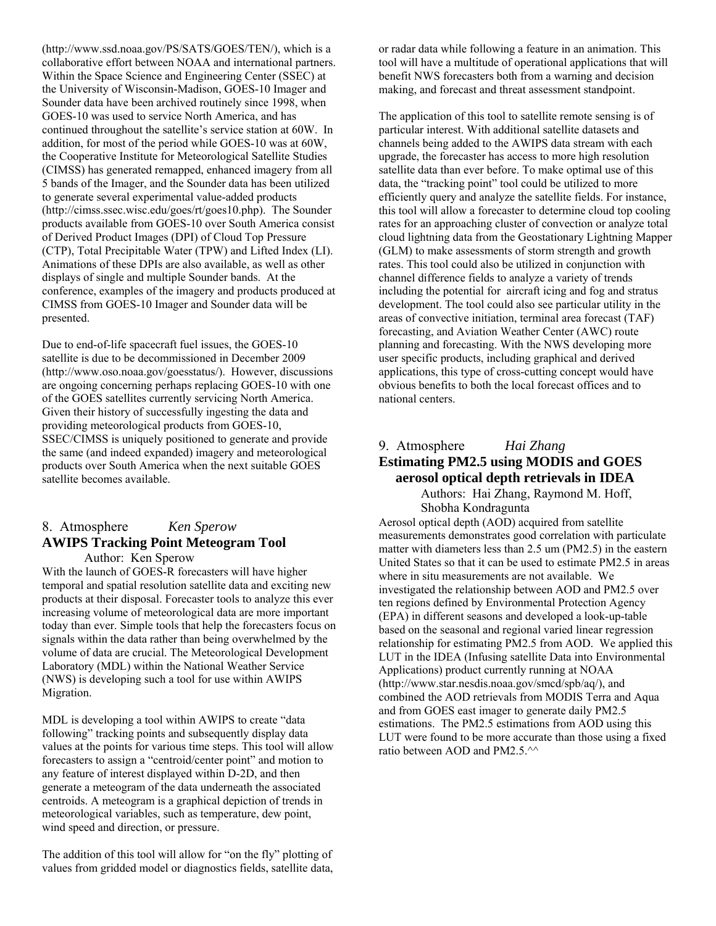(http://www.ssd.noaa.gov/PS/SATS/GOES/TEN/), which is a collaborative effort between NOAA and international partners. Within the Space Science and Engineering Center (SSEC) at the University of Wisconsin-Madison, GOES-10 Imager and Sounder data have been archived routinely since 1998, when GOES-10 was used to service North America, and has continued throughout the satellite's service station at 60W. In addition, for most of the period while GOES-10 was at 60W, the Cooperative Institute for Meteorological Satellite Studies (CIMSS) has generated remapped, enhanced imagery from all 5 bands of the Imager, and the Sounder data has been utilized to generate several experimental value-added products (http://cimss.ssec.wisc.edu/goes/rt/goes10.php). The Sounder products available from GOES-10 over South America consist of Derived Product Images (DPI) of Cloud Top Pressure (CTP), Total Precipitable Water (TPW) and Lifted Index (LI). Animations of these DPIs are also available, as well as other displays of single and multiple Sounder bands. At the conference, examples of the imagery and products produced at CIMSS from GOES-10 Imager and Sounder data will be presented.

Due to end-of-life spacecraft fuel issues, the GOES-10 satellite is due to be decommissioned in December 2009 (http://www.oso.noaa.gov/goesstatus/). However, discussions are ongoing concerning perhaps replacing GOES-10 with one of the GOES satellites currently servicing North America. Given their history of successfully ingesting the data and providing meteorological products from GOES-10, SSEC/CIMSS is uniquely positioned to generate and provide the same (and indeed expanded) imagery and meteorological products over South America when the next suitable GOES satellite becomes available.

# 8. Atmosphere *Ken Sperow* **AWIPS Tracking Point Meteogram Tool**

Author: Ken Sperow

With the launch of GOES-R forecasters will have higher temporal and spatial resolution satellite data and exciting new products at their disposal. Forecaster tools to analyze this ever increasing volume of meteorological data are more important today than ever. Simple tools that help the forecasters focus on signals within the data rather than being overwhelmed by the volume of data are crucial. The Meteorological Development Laboratory (MDL) within the National Weather Service (NWS) is developing such a tool for use within AWIPS Migration.

MDL is developing a tool within AWIPS to create "data following" tracking points and subsequently display data values at the points for various time steps. This tool will allow forecasters to assign a "centroid/center point" and motion to any feature of interest displayed within D-2D, and then generate a meteogram of the data underneath the associated centroids. A meteogram is a graphical depiction of trends in meteorological variables, such as temperature, dew point, wind speed and direction, or pressure.

The addition of this tool will allow for "on the fly" plotting of values from gridded model or diagnostics fields, satellite data,

or radar data while following a feature in an animation. This tool will have a multitude of operational applications that will benefit NWS forecasters both from a warning and decision making, and forecast and threat assessment standpoint.

The application of this tool to satellite remote sensing is of particular interest. With additional satellite datasets and channels being added to the AWIPS data stream with each upgrade, the forecaster has access to more high resolution satellite data than ever before. To make optimal use of this data, the "tracking point" tool could be utilized to more efficiently query and analyze the satellite fields. For instance, this tool will allow a forecaster to determine cloud top cooling rates for an approaching cluster of convection or analyze total cloud lightning data from the Geostationary Lightning Mapper (GLM) to make assessments of storm strength and growth rates. This tool could also be utilized in conjunction with channel difference fields to analyze a variety of trends including the potential for aircraft icing and fog and stratus development. The tool could also see particular utility in the areas of convective initiation, terminal area forecast (TAF) forecasting, and Aviation Weather Center (AWC) route planning and forecasting. With the NWS developing more user specific products, including graphical and derived applications, this type of cross-cutting concept would have obvious benefits to both the local forecast offices and to national centers.

# 9. Atmosphere *Hai Zhang* **Estimating PM2.5 using MODIS and GOES aerosol optical depth retrievals in IDEA**

Authors: Hai Zhang, Raymond M. Hoff, Shobha Kondragunta

Aerosol optical depth (AOD) acquired from satellite measurements demonstrates good correlation with particulate matter with diameters less than 2.5 um (PM2.5) in the eastern United States so that it can be used to estimate PM2.5 in areas where in situ measurements are not available. We investigated the relationship between AOD and PM2.5 over ten regions defined by Environmental Protection Agency (EPA) in different seasons and developed a look-up-table based on the seasonal and regional varied linear regression relationship for estimating PM2.5 from AOD. We applied this LUT in the IDEA (Infusing satellite Data into Environmental Applications) product currently running at NOAA (http://www.star.nesdis.noaa.gov/smcd/spb/aq/), and combined the AOD retrievals from MODIS Terra and Aqua and from GOES east imager to generate daily PM2.5 estimations. The PM2.5 estimations from AOD using this LUT were found to be more accurate than those using a fixed ratio between AOD and PM2.5.^^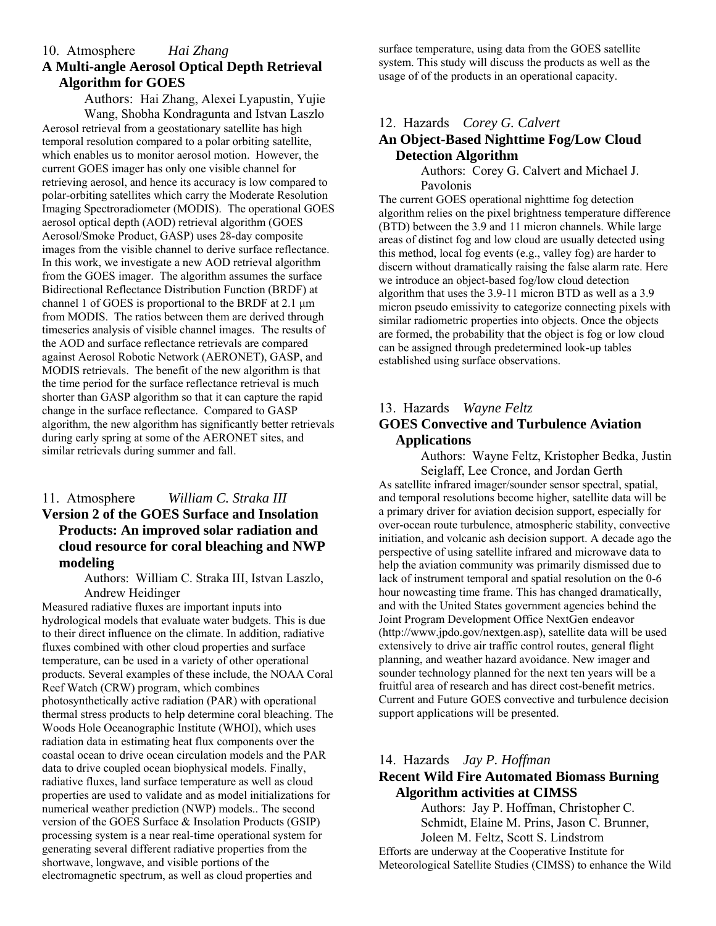### 10. Atmosphere *Hai Zhang* **A Multi-angle Aerosol Optical Depth Retrieval Algorithm for GOES**

Authors: Hai Zhang, Alexei Lyapustin, Yujie Wang, Shobha Kondragunta and Istvan Laszlo Aerosol retrieval from a geostationary satellite has high temporal resolution compared to a polar orbiting satellite, which enables us to monitor aerosol motion. However, the current GOES imager has only one visible channel for retrieving aerosol, and hence its accuracy is low compared to polar-orbiting satellites which carry the Moderate Resolution Imaging Spectroradiometer (MODIS). The operational GOES aerosol optical depth (AOD) retrieval algorithm (GOES Aerosol/Smoke Product, GASP) uses 28-day composite images from the visible channel to derive surface reflectance. In this work, we investigate a new AOD retrieval algorithm from the GOES imager. The algorithm assumes the surface Bidirectional Reflectance Distribution Function (BRDF) at channel 1 of GOES is proportional to the BRDF at 2.1 μm from MODIS. The ratios between them are derived through timeseries analysis of visible channel images. The results of the AOD and surface reflectance retrievals are compared against Aerosol Robotic Network (AERONET), GASP, and MODIS retrievals. The benefit of the new algorithm is that the time period for the surface reflectance retrieval is much shorter than GASP algorithm so that it can capture the rapid change in the surface reflectance. Compared to GASP algorithm, the new algorithm has significantly better retrievals during early spring at some of the AERONET sites, and similar retrievals during summer and fall.

# 11. Atmosphere *William C. Straka III* **Version 2 of the GOES Surface and Insolation Products: An improved solar radiation and cloud resource for coral bleaching and NWP modeling**

Authors: William C. Straka III, Istvan Laszlo, Andrew Heidinger

Measured radiative fluxes are important inputs into hydrological models that evaluate water budgets. This is due to their direct influence on the climate. In addition, radiative fluxes combined with other cloud properties and surface temperature, can be used in a variety of other operational products. Several examples of these include, the NOAA Coral Reef Watch (CRW) program, which combines photosynthetically active radiation (PAR) with operational thermal stress products to help determine coral bleaching. The Woods Hole Oceanographic Institute (WHOI), which uses radiation data in estimating heat flux components over the coastal ocean to drive ocean circulation models and the PAR data to drive coupled ocean biophysical models. Finally, radiative fluxes, land surface temperature as well as cloud properties are used to validate and as model initializations for numerical weather prediction (NWP) models.. The second version of the GOES Surface & Insolation Products (GSIP) processing system is a near real-time operational system for generating several different radiative properties from the shortwave, longwave, and visible portions of the electromagnetic spectrum, as well as cloud properties and

surface temperature, using data from the GOES satellite system. This study will discuss the products as well as the usage of of the products in an operational capacity.

## 12. Hazards *Corey G. Calvert* **An Object-Based Nighttime Fog/Low Cloud Detection Algorithm**

Authors: Corey G. Calvert and Michael J. Pavolonis

The current GOES operational nighttime fog detection algorithm relies on the pixel brightness temperature difference (BTD) between the 3.9 and 11 micron channels. While large areas of distinct fog and low cloud are usually detected using this method, local fog events (e.g., valley fog) are harder to discern without dramatically raising the false alarm rate. Here we introduce an object-based fog/low cloud detection algorithm that uses the 3.9-11 micron BTD as well as a 3.9 micron pseudo emissivity to categorize connecting pixels with similar radiometric properties into objects. Once the objects are formed, the probability that the object is fog or low cloud can be assigned through predetermined look-up tables established using surface observations.

### 13. Hazards *Wayne Feltz* **GOES Convective and Turbulence Aviation Applications**

Authors: Wayne Feltz, Kristopher Bedka, Justin Seiglaff, Lee Cronce, and Jordan Gerth As satellite infrared imager/sounder sensor spectral, spatial, and temporal resolutions become higher, satellite data will be a primary driver for aviation decision support, especially for over-ocean route turbulence, atmospheric stability, convective initiation, and volcanic ash decision support. A decade ago the perspective of using satellite infrared and microwave data to help the aviation community was primarily dismissed due to lack of instrument temporal and spatial resolution on the 0-6 hour nowcasting time frame. This has changed dramatically, and with the United States government agencies behind the Joint Program Development Office NextGen endeavor (http://www.jpdo.gov/nextgen.asp), satellite data will be used extensively to drive air traffic control routes, general flight planning, and weather hazard avoidance. New imager and sounder technology planned for the next ten years will be a fruitful area of research and has direct cost-benefit metrics. Current and Future GOES convective and turbulence decision support applications will be presented.

# 14. Hazards *Jay P. Hoffman* **Recent Wild Fire Automated Biomass Burning Algorithm activities at CIMSS**

Authors: Jay P. Hoffman, Christopher C. Schmidt, Elaine M. Prins, Jason C. Brunner, Joleen M. Feltz, Scott S. Lindstrom

Efforts are underway at the Cooperative Institute for Meteorological Satellite Studies (CIMSS) to enhance the Wild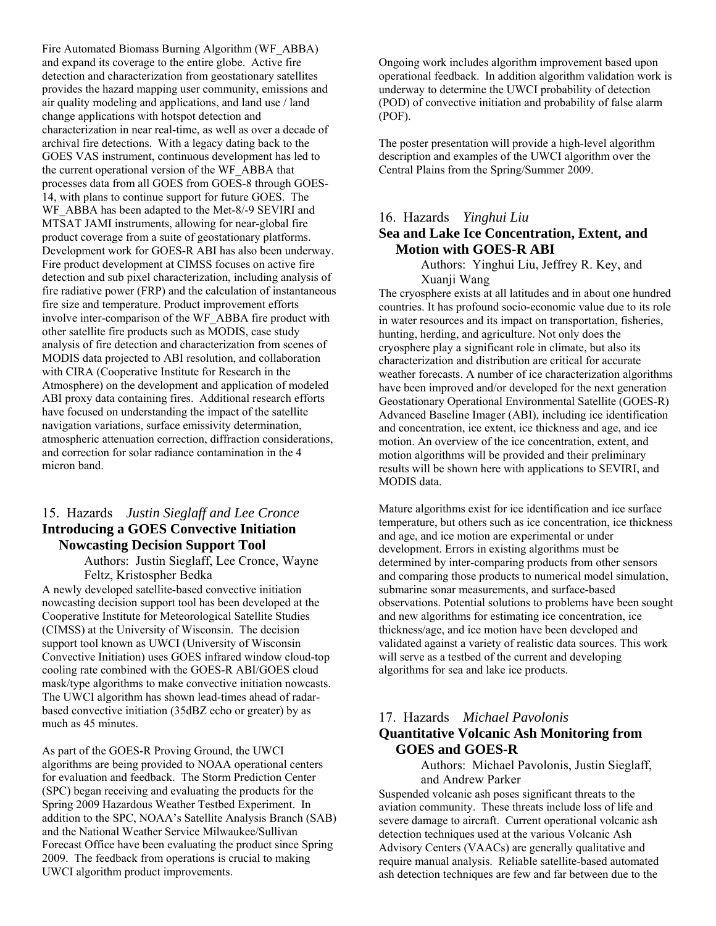Fire Automated Biomass Burning Algorithm (WF\_ABBA) and expand its coverage to the entire globe. Active fire detection and characterization from geostationary satellites provides the hazard mapping user community, emissions and air quality modeling and applications, and land use / land change applications with hotspot detection and characterization in near real-time, as well as over a decade of archival fire detections. With a legacy dating back to the GOES VAS instrument, continuous development has led to the current operational version of the WF\_ABBA that processes data from all GOES from GOES-8 through GOES-14, with plans to continue support for future GOES. The WF\_ABBA has been adapted to the Met-8/-9 SEVIRI and MTSAT JAMI instruments, allowing for near-global fire product coverage from a suite of geostationary platforms. Development work for GOES-R ABI has also been underway. Fire product development at CIMSS focuses on active fire detection and sub pixel characterization, including analysis of fire radiative power (FRP) and the calculation of instantaneous fire size and temperature. Product improvement efforts involve inter-comparison of the WF\_ABBA fire product with other satellite fire products such as MODIS, case study analysis of fire detection and characterization from scenes of MODIS data projected to ABI resolution, and collaboration with CIRA (Cooperative Institute for Research in the Atmosphere) on the development and application of modeled ABI proxy data containing fires. Additional research efforts have focused on understanding the impact of the satellite navigation variations, surface emissivity determination, atmospheric attenuation correction, diffraction considerations, and correction for solar radiance contamination in the 4 micron band.

### 15. Hazards *Justin Sieglaff and Lee Cronce* **Introducing a GOES Convective Initiation Nowcasting Decision Support Tool**

Authors: Justin Sieglaff, Lee Cronce, Wayne Feltz, Kristospher Bedka

A newly developed satellite-based convective initiation nowcasting decision support tool has been developed at the Cooperative Institute for Meteorological Satellite Studies (CIMSS) at the University of Wisconsin. The decision support tool known as UWCI (University of Wisconsin Convective Initiation) uses GOES infrared window cloud-top cooling rate combined with the GOES-R ABI/GOES cloud mask/type algorithms to make convective initiation nowcasts. The UWCI algorithm has shown lead-times ahead of radarbased convective initiation (35dBZ echo or greater) by as much as 45 minutes.

As part of the GOES-R Proving Ground, the UWCI algorithms are being provided to NOAA operational centers for evaluation and feedback. The Storm Prediction Center (SPC) began receiving and evaluating the products for the Spring 2009 Hazardous Weather Testbed Experiment. In addition to the SPC, NOAA's Satellite Analysis Branch (SAB) and the National Weather Service Milwaukee/Sullivan Forecast Office have been evaluating the product since Spring 2009. The feedback from operations is crucial to making UWCI algorithm product improvements.

Ongoing work includes algorithm improvement based upon operational feedback. In addition algorithm validation work is underway to determine the UWCI probability of detection (POD) of convective initiation and probability of false alarm (POF).

The poster presentation will provide a high-level algorithm description and examples of the UWCI algorithm over the Central Plains from the Spring/Summer 2009.

### 16. Hazards *Yinghui Liu* **Sea and Lake Ice Concentration, Extent, and Motion with GOES-R ABI**

Authors: Yinghui Liu, Jeffrey R. Key, and Xuanji Wang

The cryosphere exists at all latitudes and in about one hundred countries. It has profound socio-economic value due to its role in water resources and its impact on transportation, fisheries, hunting, herding, and agriculture. Not only does the cryosphere play a significant role in climate, but also its characterization and distribution are critical for accurate weather forecasts. A number of ice characterization algorithms have been improved and/or developed for the next generation Geostationary Operational Environmental Satellite (GOES-R) Advanced Baseline Imager (ABI), including ice identification and concentration, ice extent, ice thickness and age, and ice motion. An overview of the ice concentration, extent, and motion algorithms will be provided and their preliminary results will be shown here with applications to SEVIRI, and MODIS data.

Mature algorithms exist for ice identification and ice surface temperature, but others such as ice concentration, ice thickness and age, and ice motion are experimental or under development. Errors in existing algorithms must be determined by inter-comparing products from other sensors and comparing those products to numerical model simulation, submarine sonar measurements, and surface-based observations. Potential solutions to problems have been sought and new algorithms for estimating ice concentration, ice thickness/age, and ice motion have been developed and validated against a variety of realistic data sources. This work will serve as a testbed of the current and developing algorithms for sea and lake ice products.

# 17. Hazards *Michael Pavolonis* **Quantitative Volcanic Ash Monitoring from GOES and GOES-R**

Authors: Michael Pavolonis, Justin Sieglaff, and Andrew Parker

Suspended volcanic ash poses significant threats to the aviation community. These threats include loss of life and severe damage to aircraft. Current operational volcanic ash detection techniques used at the various Volcanic Ash Advisory Centers (VAACs) are generally qualitative and require manual analysis. Reliable satellite-based automated ash detection techniques are few and far between due to the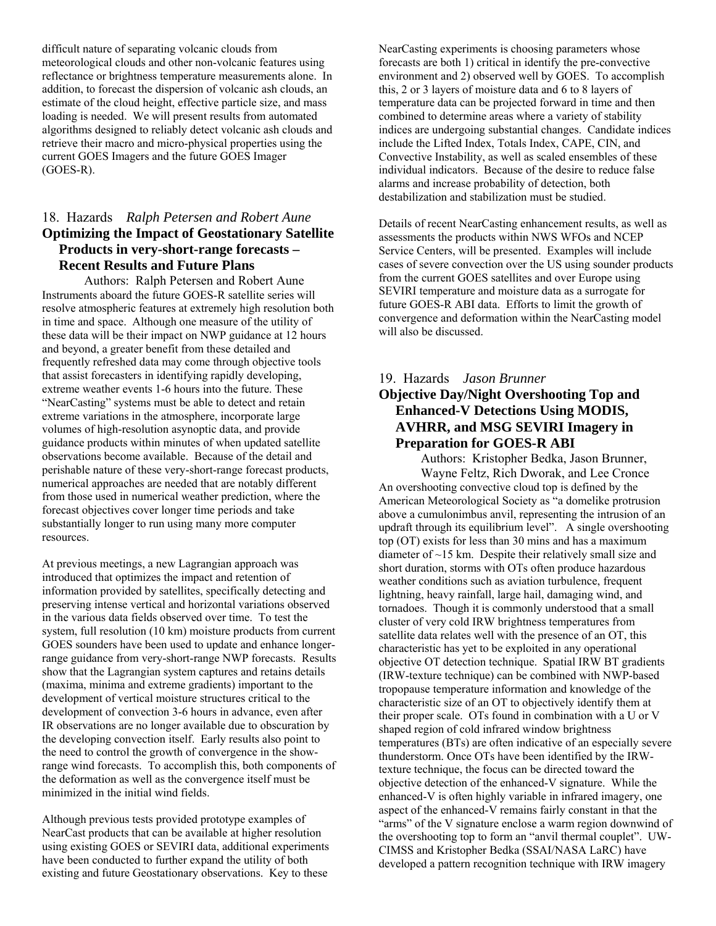difficult nature of separating volcanic clouds from meteorological clouds and other non-volcanic features using reflectance or brightness temperature measurements alone. In addition, to forecast the dispersion of volcanic ash clouds, an estimate of the cloud height, effective particle size, and mass loading is needed. We will present results from automated algorithms designed to reliably detect volcanic ash clouds and retrieve their macro and micro-physical properties using the current GOES Imagers and the future GOES Imager (GOES-R).

# 18. Hazards *Ralph Petersen and Robert Aune* **Optimizing the Impact of Geostationary Satellite Products in very-short-range forecasts – Recent Results and Future Plans**

Authors: Ralph Petersen and Robert Aune Instruments aboard the future GOES-R satellite series will resolve atmospheric features at extremely high resolution both in time and space. Although one measure of the utility of these data will be their impact on NWP guidance at 12 hours and beyond, a greater benefit from these detailed and frequently refreshed data may come through objective tools that assist forecasters in identifying rapidly developing, extreme weather events 1-6 hours into the future. These "NearCasting" systems must be able to detect and retain extreme variations in the atmosphere, incorporate large volumes of high-resolution asynoptic data, and provide guidance products within minutes of when updated satellite observations become available. Because of the detail and perishable nature of these very-short-range forecast products, numerical approaches are needed that are notably different from those used in numerical weather prediction, where the forecast objectives cover longer time periods and take substantially longer to run using many more computer resources.

At previous meetings, a new Lagrangian approach was introduced that optimizes the impact and retention of information provided by satellites, specifically detecting and preserving intense vertical and horizontal variations observed in the various data fields observed over time. To test the system, full resolution (10 km) moisture products from current GOES sounders have been used to update and enhance longerrange guidance from very-short-range NWP forecasts. Results show that the Lagrangian system captures and retains details (maxima, minima and extreme gradients) important to the development of vertical moisture structures critical to the development of convection 3-6 hours in advance, even after IR observations are no longer available due to obscuration by the developing convection itself. Early results also point to the need to control the growth of convergence in the showrange wind forecasts. To accomplish this, both components of the deformation as well as the convergence itself must be minimized in the initial wind fields.

Although previous tests provided prototype examples of NearCast products that can be available at higher resolution using existing GOES or SEVIRI data, additional experiments have been conducted to further expand the utility of both existing and future Geostationary observations. Key to these

NearCasting experiments is choosing parameters whose forecasts are both 1) critical in identify the pre-convective environment and 2) observed well by GOES. To accomplish this, 2 or 3 layers of moisture data and 6 to 8 layers of temperature data can be projected forward in time and then combined to determine areas where a variety of stability indices are undergoing substantial changes. Candidate indices include the Lifted Index, Totals Index, CAPE, CIN, and Convective Instability, as well as scaled ensembles of these individual indicators. Because of the desire to reduce false alarms and increase probability of detection, both destabilization and stabilization must be studied.

Details of recent NearCasting enhancement results, as well as assessments the products within NWS WFOs and NCEP Service Centers, will be presented. Examples will include cases of severe convection over the US using sounder products from the current GOES satellites and over Europe using SEVIRI temperature and moisture data as a surrogate for future GOES-R ABI data. Efforts to limit the growth of convergence and deformation within the NearCasting model will also be discussed.

# 19. Hazards *Jason Brunner* **Objective Day/Night Overshooting Top and Enhanced-V Detections Using MODIS, AVHRR, and MSG SEVIRI Imagery in Preparation for GOES-R ABI**

Authors: Kristopher Bedka, Jason Brunner, Wayne Feltz, Rich Dworak, and Lee Cronce An overshooting convective cloud top is defined by the American Meteorological Society as "a domelike protrusion above a cumulonimbus anvil, representing the intrusion of an updraft through its equilibrium level". A single overshooting top (OT) exists for less than 30 mins and has a maximum diameter of ~15 km. Despite their relatively small size and short duration, storms with OTs often produce hazardous weather conditions such as aviation turbulence, frequent lightning, heavy rainfall, large hail, damaging wind, and tornadoes. Though it is commonly understood that a small cluster of very cold IRW brightness temperatures from satellite data relates well with the presence of an OT, this characteristic has yet to be exploited in any operational objective OT detection technique. Spatial IRW BT gradients (IRW-texture technique) can be combined with NWP-based tropopause temperature information and knowledge of the characteristic size of an OT to objectively identify them at their proper scale. OTs found in combination with a U or V shaped region of cold infrared window brightness temperatures (BTs) are often indicative of an especially severe thunderstorm. Once OTs have been identified by the IRWtexture technique, the focus can be directed toward the objective detection of the enhanced-V signature. While the enhanced-V is often highly variable in infrared imagery, one aspect of the enhanced-V remains fairly constant in that the "arms" of the V signature enclose a warm region downwind of the overshooting top to form an "anvil thermal couplet". UW-CIMSS and Kristopher Bedka (SSAI/NASA LaRC) have developed a pattern recognition technique with IRW imagery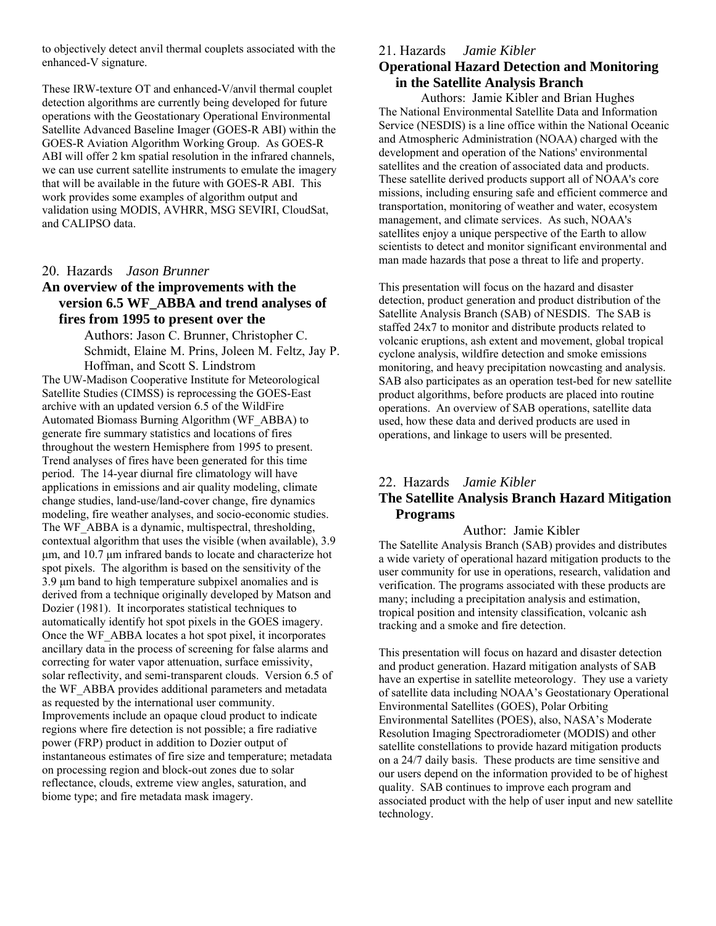to objectively detect anvil thermal couplets associated with the enhanced-V signature.

These IRW-texture OT and enhanced-V/anvil thermal couplet detection algorithms are currently being developed for future operations with the Geostationary Operational Environmental Satellite Advanced Baseline Imager (GOES-R ABI) within the GOES-R Aviation Algorithm Working Group. As GOES-R ABI will offer 2 km spatial resolution in the infrared channels, we can use current satellite instruments to emulate the imagery that will be available in the future with GOES-R ABI. This work provides some examples of algorithm output and validation using MODIS, AVHRR, MSG SEVIRI, CloudSat, and CALIPSO data.

### 20. Hazards *Jason Brunner*

### **An overview of the improvements with the version 6.5 WF\_ABBA and trend analyses of fires from 1995 to present over the**

Authors: Jason C. Brunner, Christopher C. Schmidt, Elaine M. Prins, Joleen M. Feltz, Jay P. Hoffman, and Scott S. Lindstrom

The UW-Madison Cooperative Institute for Meteorological Satellite Studies (CIMSS) is reprocessing the GOES-East archive with an updated version 6.5 of the WildFire Automated Biomass Burning Algorithm (WF\_ABBA) to generate fire summary statistics and locations of fires throughout the western Hemisphere from 1995 to present. Trend analyses of fires have been generated for this time period. The 14-year diurnal fire climatology will have applications in emissions and air quality modeling, climate change studies, land-use/land-cover change, fire dynamics modeling, fire weather analyses, and socio-economic studies. The WF\_ABBA is a dynamic, multispectral, thresholding, contextual algorithm that uses the visible (when available), 3.9 μm, and 10.7 μm infrared bands to locate and characterize hot spot pixels. The algorithm is based on the sensitivity of the 3.9 μm band to high temperature subpixel anomalies and is derived from a technique originally developed by Matson and Dozier (1981). It incorporates statistical techniques to automatically identify hot spot pixels in the GOES imagery. Once the WF\_ABBA locates a hot spot pixel, it incorporates ancillary data in the process of screening for false alarms and correcting for water vapor attenuation, surface emissivity, solar reflectivity, and semi-transparent clouds. Version 6.5 of the WF\_ABBA provides additional parameters and metadata as requested by the international user community. Improvements include an opaque cloud product to indicate regions where fire detection is not possible; a fire radiative power (FRP) product in addition to Dozier output of instantaneous estimates of fire size and temperature; metadata on processing region and block-out zones due to solar reflectance, clouds, extreme view angles, saturation, and biome type; and fire metadata mask imagery.

### 21. Hazards *Jamie Kibler* **Operational Hazard Detection and Monitoring in the Satellite Analysis Branch**

Authors: Jamie Kibler and Brian Hughes The National Environmental Satellite Data and Information Service (NESDIS) is a line office within the National Oceanic and Atmospheric Administration (NOAA) charged with the development and operation of the Nations' environmental satellites and the creation of associated data and products. These satellite derived products support all of NOAA's core missions, including ensuring safe and efficient commerce and transportation, monitoring of weather and water, ecosystem management, and climate services. As such, NOAA's satellites enjoy a unique perspective of the Earth to allow scientists to detect and monitor significant environmental and man made hazards that pose a threat to life and property.

This presentation will focus on the hazard and disaster detection, product generation and product distribution of the Satellite Analysis Branch (SAB) of NESDIS. The SAB is staffed 24x7 to monitor and distribute products related to volcanic eruptions, ash extent and movement, global tropical cyclone analysis, wildfire detection and smoke emissions monitoring, and heavy precipitation nowcasting and analysis. SAB also participates as an operation test-bed for new satellite product algorithms, before products are placed into routine operations. An overview of SAB operations, satellite data used, how these data and derived products are used in operations, and linkage to users will be presented.

### 22. Hazards *Jamie Kibler*  **The Satellite Analysis Branch Hazard Mitigation Programs**

 Author: Jamie Kibler The Satellite Analysis Branch (SAB) provides and distributes a wide variety of operational hazard mitigation products to the user community for use in operations, research, validation and verification. The programs associated with these products are many; including a precipitation analysis and estimation, tropical position and intensity classification, volcanic ash tracking and a smoke and fire detection.

This presentation will focus on hazard and disaster detection and product generation. Hazard mitigation analysts of SAB have an expertise in satellite meteorology. They use a variety of satellite data including NOAA's Geostationary Operational Environmental Satellites (GOES), Polar Orbiting Environmental Satellites (POES), also, NASA's Moderate Resolution Imaging Spectroradiometer (MODIS) and other satellite constellations to provide hazard mitigation products on a 24/7 daily basis. These products are time sensitive and our users depend on the information provided to be of highest quality. SAB continues to improve each program and associated product with the help of user input and new satellite technology.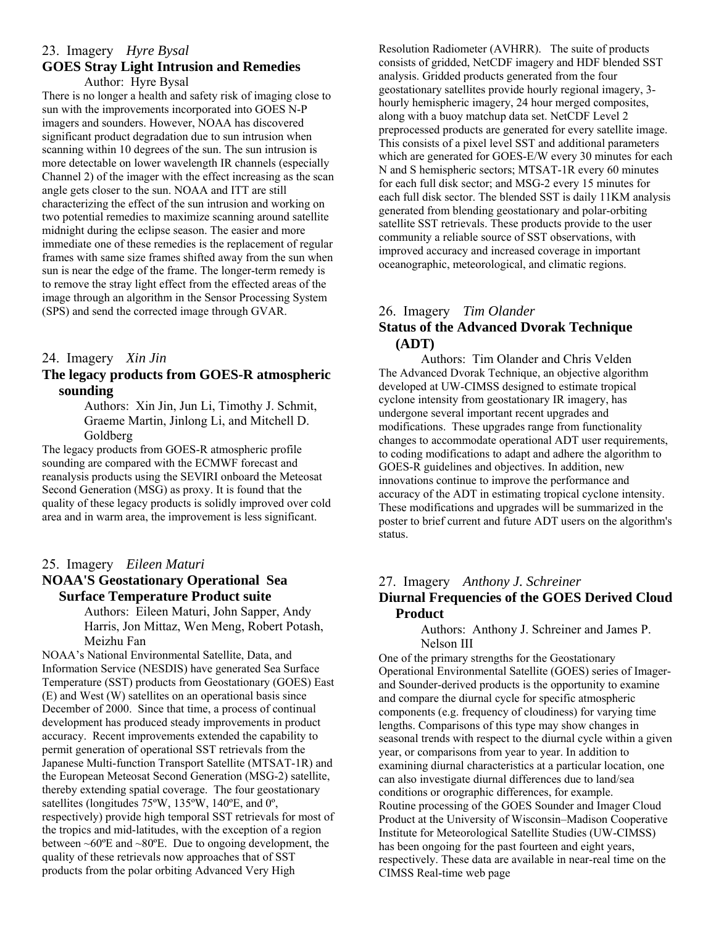#### 23. Imagery *Hyre Bysal* **GOES Stray Light Intrusion and Remedies**  Author: Hyre Bysal

There is no longer a health and safety risk of imaging close to sun with the improvements incorporated into GOES N-P imagers and sounders. However, NOAA has discovered significant product degradation due to sun intrusion when scanning within 10 degrees of the sun. The sun intrusion is more detectable on lower wavelength IR channels (especially Channel 2) of the imager with the effect increasing as the scan angle gets closer to the sun. NOAA and ITT are still characterizing the effect of the sun intrusion and working on two potential remedies to maximize scanning around satellite midnight during the eclipse season. The easier and more immediate one of these remedies is the replacement of regular frames with same size frames shifted away from the sun when sun is near the edge of the frame. The longer-term remedy is to remove the stray light effect from the effected areas of the image through an algorithm in the Sensor Processing System (SPS) and send the corrected image through GVAR.

#### 24. Imagery *Xin Jin*

### **The legacy products from GOES-R atmospheric sounding**

Authors: Xin Jin, Jun Li, Timothy J. Schmit, Graeme Martin, Jinlong Li, and Mitchell D. Goldberg

The legacy products from GOES-R atmospheric profile sounding are compared with the ECMWF forecast and reanalysis products using the SEVIRI onboard the Meteosat Second Generation (MSG) as proxy. It is found that the quality of these legacy products is solidly improved over cold area and in warm area, the improvement is less significant.

### 25. Imagery *Eileen Maturi*

### **NOAA'S Geostationary Operational Sea Surface Temperature Product suite**

Authors: Eileen Maturi, John Sapper, Andy Harris, Jon Mittaz, Wen Meng, Robert Potash, Meizhu Fan

NOAA's National Environmental Satellite, Data, and Information Service (NESDIS) have generated Sea Surface Temperature (SST) products from Geostationary (GOES) East (E) and West (W) satellites on an operational basis since December of 2000. Since that time, a process of continual development has produced steady improvements in product accuracy. Recent improvements extended the capability to permit generation of operational SST retrievals from the Japanese Multi-function Transport Satellite (MTSAT-1R) and the European Meteosat Second Generation (MSG-2) satellite, thereby extending spatial coverage. The four geostationary satellites (longitudes 75ºW, 135ºW, 140ºE, and 0º, respectively) provide high temporal SST retrievals for most of the tropics and mid-latitudes, with the exception of a region between  $\sim 60^{\circ}$ E and  $\sim 80^{\circ}$ E. Due to ongoing development, the quality of these retrievals now approaches that of SST products from the polar orbiting Advanced Very High

Resolution Radiometer (AVHRR). The suite of products consists of gridded, NetCDF imagery and HDF blended SST analysis. Gridded products generated from the four geostationary satellites provide hourly regional imagery, 3 hourly hemispheric imagery, 24 hour merged composites, along with a buoy matchup data set. NetCDF Level 2 preprocessed products are generated for every satellite image. This consists of a pixel level SST and additional parameters which are generated for GOES-E/W every 30 minutes for each N and S hemispheric sectors; MTSAT-1R every 60 minutes for each full disk sector; and MSG-2 every 15 minutes for each full disk sector. The blended SST is daily 11KM analysis generated from blending geostationary and polar-orbiting satellite SST retrievals. These products provide to the user community a reliable source of SST observations, with improved accuracy and increased coverage in important oceanographic, meteorological, and climatic regions.

# 26. Imagery *Tim Olander* **Status of the Advanced Dvorak Technique (ADT)**

Authors: Tim Olander and Chris Velden The Advanced Dvorak Technique, an objective algorithm developed at UW-CIMSS designed to estimate tropical cyclone intensity from geostationary IR imagery, has undergone several important recent upgrades and modifications. These upgrades range from functionality changes to accommodate operational ADT user requirements, to coding modifications to adapt and adhere the algorithm to GOES-R guidelines and objectives. In addition, new innovations continue to improve the performance and accuracy of the ADT in estimating tropical cyclone intensity. These modifications and upgrades will be summarized in the poster to brief current and future ADT users on the algorithm's status.

#### 27. Imagery *Anthony J. Schreiner*

# **Diurnal Frequencies of the GOES Derived Cloud Product**

Authors: Anthony J. Schreiner and James P. Nelson III

One of the primary strengths for the Geostationary Operational Environmental Satellite (GOES) series of Imagerand Sounder-derived products is the opportunity to examine and compare the diurnal cycle for specific atmospheric components (e.g. frequency of cloudiness) for varying time lengths. Comparisons of this type may show changes in seasonal trends with respect to the diurnal cycle within a given year, or comparisons from year to year. In addition to examining diurnal characteristics at a particular location, one can also investigate diurnal differences due to land/sea conditions or orographic differences, for example. Routine processing of the GOES Sounder and Imager Cloud Product at the University of Wisconsin–Madison Cooperative Institute for Meteorological Satellite Studies (UW-CIMSS) has been ongoing for the past fourteen and eight years, respectively. These data are available in near-real time on the CIMSS Real-time web page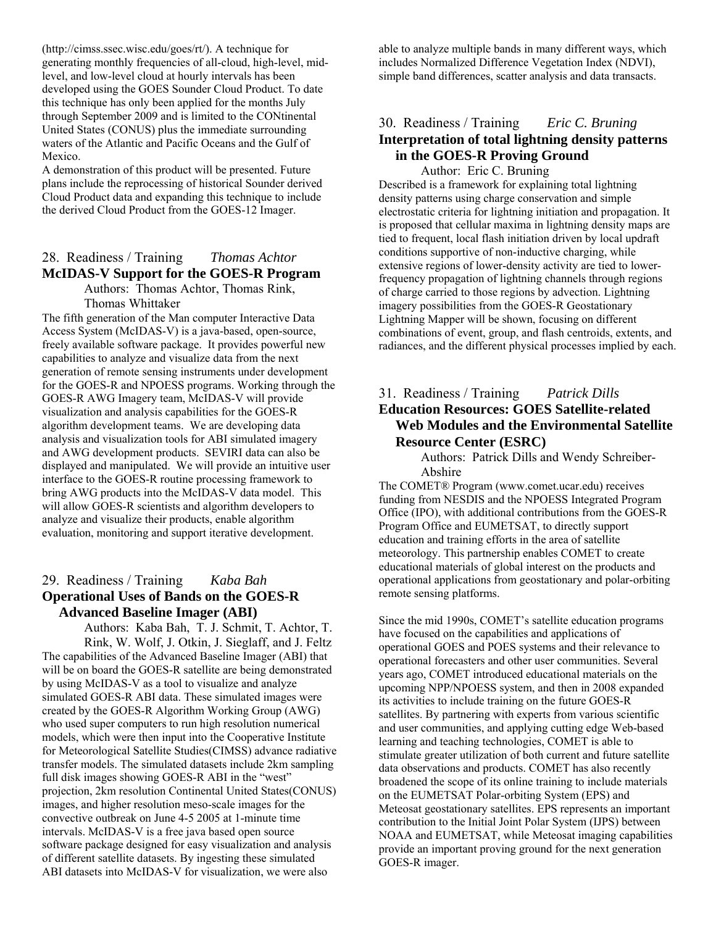(http://cimss.ssec.wisc.edu/goes/rt/). A technique for generating monthly frequencies of all-cloud, high-level, midlevel, and low-level cloud at hourly intervals has been developed using the GOES Sounder Cloud Product. To date this technique has only been applied for the months July through September 2009 and is limited to the CONtinental United States (CONUS) plus the immediate surrounding waters of the Atlantic and Pacific Oceans and the Gulf of Mexico.

A demonstration of this product will be presented. Future plans include the reprocessing of historical Sounder derived Cloud Product data and expanding this technique to include the derived Cloud Product from the GOES-12 Imager.

#### 28. Readiness / Training *Thomas Achtor* **McIDAS-V Support for the GOES-R Program**  Authors: Thomas Achtor, Thomas Rink, Thomas Whittaker

The fifth generation of the Man computer Interactive Data Access System (McIDAS-V) is a java-based, open-source, freely available software package. It provides powerful new capabilities to analyze and visualize data from the next generation of remote sensing instruments under development for the GOES-R and NPOESS programs. Working through the GOES-R AWG Imagery team, McIDAS-V will provide visualization and analysis capabilities for the GOES-R algorithm development teams. We are developing data analysis and visualization tools for ABI simulated imagery and AWG development products. SEVIRI data can also be displayed and manipulated. We will provide an intuitive user interface to the GOES-R routine processing framework to bring AWG products into the McIDAS-V data model. This will allow GOES-R scientists and algorithm developers to analyze and visualize their products, enable algorithm evaluation, monitoring and support iterative development.

# 29. Readiness / Training *Kaba Bah* **Operational Uses of Bands on the GOES-R Advanced Baseline Imager (ABI)**

Authors: Kaba Bah, T. J. Schmit, T. Achtor, T. Rink, W. Wolf, J. Otkin, J. Sieglaff, and J. Feltz The capabilities of the Advanced Baseline Imager (ABI) that will be on board the GOES-R satellite are being demonstrated by using McIDAS-V as a tool to visualize and analyze simulated GOES-R ABI data. These simulated images were created by the GOES-R Algorithm Working Group (AWG) who used super computers to run high resolution numerical models, which were then input into the Cooperative Institute for Meteorological Satellite Studies(CIMSS) advance radiative transfer models. The simulated datasets include 2km sampling full disk images showing GOES-R ABI in the "west" projection, 2km resolution Continental United States(CONUS) images, and higher resolution meso-scale images for the convective outbreak on June 4-5 2005 at 1-minute time intervals. McIDAS-V is a free java based open source software package designed for easy visualization and analysis of different satellite datasets. By ingesting these simulated ABI datasets into McIDAS-V for visualization, we were also

able to analyze multiple bands in many different ways, which includes Normalized Difference Vegetation Index (NDVI), simple band differences, scatter analysis and data transacts.

# 30. Readiness / Training *Eric C. Bruning*  **Interpretation of total lightning density patterns in the GOES-R Proving Ground**

Author: Eric C. Bruning

Described is a framework for explaining total lightning density patterns using charge conservation and simple electrostatic criteria for lightning initiation and propagation. It is proposed that cellular maxima in lightning density maps are tied to frequent, local flash initiation driven by local updraft conditions supportive of non-inductive charging, while extensive regions of lower-density activity are tied to lowerfrequency propagation of lightning channels through regions of charge carried to those regions by advection. Lightning imagery possibilities from the GOES-R Geostationary Lightning Mapper will be shown, focusing on different combinations of event, group, and flash centroids, extents, and radiances, and the different physical processes implied by each.

# 31. Readiness / Training *Patrick Dills* **Education Resources: GOES Satellite-related Web Modules and the Environmental Satellite Resource Center (ESRC)**

Authors: Patrick Dills and Wendy Schreiber-Abshire

The COMET® Program (www.comet.ucar.edu) receives funding from NESDIS and the NPOESS Integrated Program Office (IPO), with additional contributions from the GOES-R Program Office and EUMETSAT, to directly support education and training efforts in the area of satellite meteorology. This partnership enables COMET to create educational materials of global interest on the products and operational applications from geostationary and polar-orbiting remote sensing platforms.

Since the mid 1990s, COMET's satellite education programs have focused on the capabilities and applications of operational GOES and POES systems and their relevance to operational forecasters and other user communities. Several years ago, COMET introduced educational materials on the upcoming NPP/NPOESS system, and then in 2008 expanded its activities to include training on the future GOES-R satellites. By partnering with experts from various scientific and user communities, and applying cutting edge Web-based learning and teaching technologies, COMET is able to stimulate greater utilization of both current and future satellite data observations and products. COMET has also recently broadened the scope of its online training to include materials on the EUMETSAT Polar-orbiting System (EPS) and Meteosat geostationary satellites. EPS represents an important contribution to the Initial Joint Polar System (IJPS) between NOAA and EUMETSAT, while Meteosat imaging capabilities provide an important proving ground for the next generation GOES-R imager.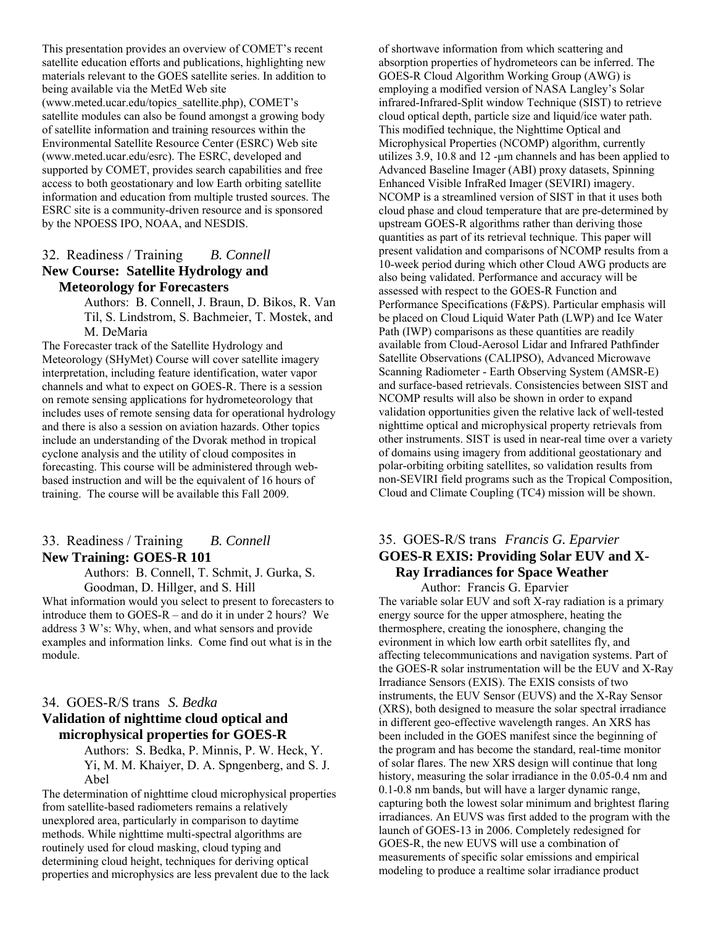This presentation provides an overview of COMET's recent satellite education efforts and publications, highlighting new materials relevant to the GOES satellite series. In addition to being available via the MetEd Web site (www.meted.ucar.edu/topics\_satellite.php), COMET's satellite modules can also be found amongst a growing body of satellite information and training resources within the Environmental Satellite Resource Center (ESRC) Web site (www.meted.ucar.edu/esrc). The ESRC, developed and supported by COMET, provides search capabilities and free access to both geostationary and low Earth orbiting satellite information and education from multiple trusted sources. The ESRC site is a community-driven resource and is sponsored by the NPOESS IPO, NOAA, and NESDIS.

### 32. Readiness / Training *B. Connell* **New Course: Satellite Hydrology and Meteorology for Forecasters**

Authors: B. Connell, J. Braun, D. Bikos, R. Van Til, S. Lindstrom, S. Bachmeier, T. Mostek, and M. DeMaria

The Forecaster track of the Satellite Hydrology and Meteorology (SHyMet) Course will cover satellite imagery interpretation, including feature identification, water vapor channels and what to expect on GOES-R. There is a session on remote sensing applications for hydrometeorology that includes uses of remote sensing data for operational hydrology and there is also a session on aviation hazards. Other topics include an understanding of the Dvorak method in tropical cyclone analysis and the utility of cloud composites in forecasting. This course will be administered through webbased instruction and will be the equivalent of 16 hours of training. The course will be available this Fall 2009.

### 33. Readiness / Training *B. Connell* **New Training: GOES-R 101**

Authors: B. Connell, T. Schmit, J. Gurka, S. Goodman, D. Hillger, and S. Hill

What information would you select to present to forecasters to introduce them to GOES-R – and do it in under 2 hours? We address 3 W's: Why, when, and what sensors and provide examples and information links. Come find out what is in the module.

#### 34. GOES-R/S trans *S. Bedka*

### **Validation of nighttime cloud optical and microphysical properties for GOES-R**

Authors: S. Bedka, P. Minnis, P. W. Heck, Y. Yi, M. M. Khaiyer, D. A. Spngenberg, and S. J. Abel

The determination of nighttime cloud microphysical properties from satellite-based radiometers remains a relatively unexplored area, particularly in comparison to daytime methods. While nighttime multi-spectral algorithms are routinely used for cloud masking, cloud typing and determining cloud height, techniques for deriving optical properties and microphysics are less prevalent due to the lack

of shortwave information from which scattering and absorption properties of hydrometeors can be inferred. The GOES-R Cloud Algorithm Working Group (AWG) is employing a modified version of NASA Langley's Solar infrared-Infrared-Split window Technique (SIST) to retrieve cloud optical depth, particle size and liquid/ice water path. This modified technique, the Nighttime Optical and Microphysical Properties (NCOMP) algorithm, currently utilizes 3.9, 10.8 and 12 -μm channels and has been applied to Advanced Baseline Imager (ABI) proxy datasets, Spinning Enhanced Visible InfraRed Imager (SEVIRI) imagery. NCOMP is a streamlined version of SIST in that it uses both cloud phase and cloud temperature that are pre-determined by upstream GOES-R algorithms rather than deriving those quantities as part of its retrieval technique. This paper will present validation and comparisons of NCOMP results from a 10-week period during which other Cloud AWG products are also being validated. Performance and accuracy will be assessed with respect to the GOES-R Function and Performance Specifications (F&PS). Particular emphasis will be placed on Cloud Liquid Water Path (LWP) and Ice Water Path (IWP) comparisons as these quantities are readily available from Cloud-Aerosol Lidar and Infrared Pathfinder Satellite Observations (CALIPSO), Advanced Microwave Scanning Radiometer - Earth Observing System (AMSR-E) and surface-based retrievals. Consistencies between SIST and NCOMP results will also be shown in order to expand validation opportunities given the relative lack of well-tested nighttime optical and microphysical property retrievals from other instruments. SIST is used in near-real time over a variety of domains using imagery from additional geostationary and polar-orbiting orbiting satellites, so validation results from non-SEVIRI field programs such as the Tropical Composition, Cloud and Climate Coupling (TC4) mission will be shown.

# 35. GOES-R/S trans *Francis G. Eparvier* **GOES-R EXIS: Providing Solar EUV and X-Ray Irradiances for Space Weather**

Author: Francis G. Eparvier The variable solar EUV and soft X-ray radiation is a primary energy source for the upper atmosphere, heating the thermosphere, creating the ionosphere, changing the evironment in which low earth orbit satellites fly, and affecting telecommunications and navigation systems. Part of the GOES-R solar instrumentation will be the EUV and X-Ray Irradiance Sensors (EXIS). The EXIS consists of two instruments, the EUV Sensor (EUVS) and the X-Ray Sensor (XRS), both designed to measure the solar spectral irradiance in different geo-effective wavelength ranges. An XRS has been included in the GOES manifest since the beginning of the program and has become the standard, real-time monitor of solar flares. The new XRS design will continue that long history, measuring the solar irradiance in the 0.05-0.4 nm and 0.1-0.8 nm bands, but will have a larger dynamic range, capturing both the lowest solar minimum and brightest flaring irradiances. An EUVS was first added to the program with the launch of GOES-13 in 2006. Completely redesigned for GOES-R, the new EUVS will use a combination of measurements of specific solar emissions and empirical modeling to produce a realtime solar irradiance product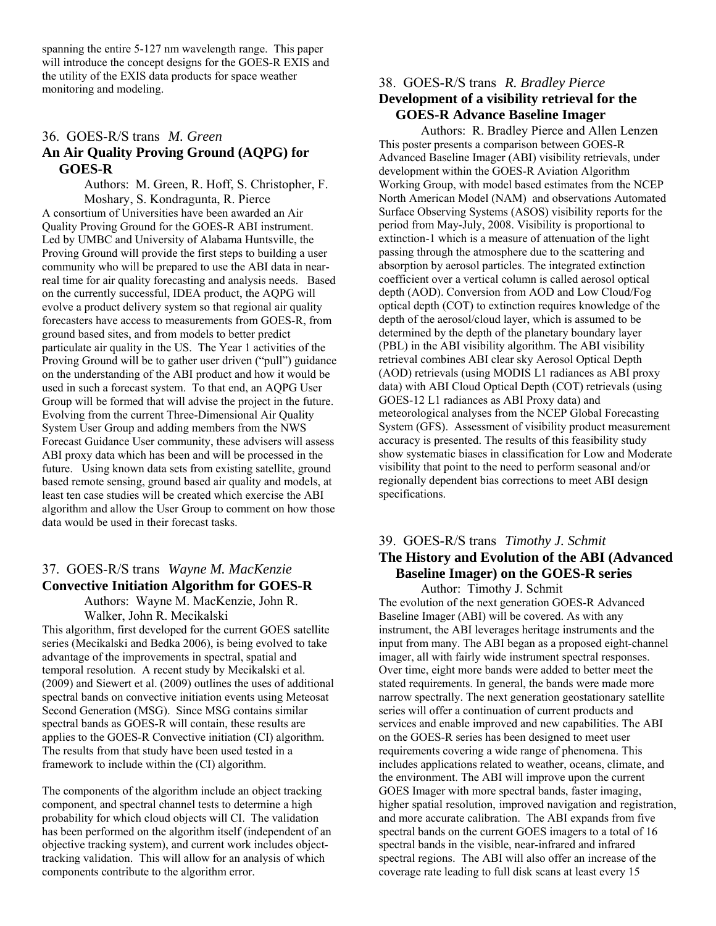spanning the entire 5-127 nm wavelength range. This paper will introduce the concept designs for the GOES-R EXIS and the utility of the EXIS data products for space weather monitoring and modeling.

# 36. GOES-R/S trans *M. Green* **An Air Quality Proving Ground (AQPG) for GOES-R**

Authors: M. Green, R. Hoff, S. Christopher, F. Moshary, S. Kondragunta, R. Pierce A consortium of Universities have been awarded an Air Quality Proving Ground for the GOES-R ABI instrument. Led by UMBC and University of Alabama Huntsville, the Proving Ground will provide the first steps to building a user community who will be prepared to use the ABI data in nearreal time for air quality forecasting and analysis needs. Based on the currently successful, IDEA product, the AQPG will evolve a product delivery system so that regional air quality forecasters have access to measurements from GOES-R, from ground based sites, and from models to better predict particulate air quality in the US. The Year 1 activities of the Proving Ground will be to gather user driven ("pull") guidance on the understanding of the ABI product and how it would be used in such a forecast system. To that end, an AQPG User Group will be formed that will advise the project in the future. Evolving from the current Three-Dimensional Air Quality System User Group and adding members from the NWS Forecast Guidance User community, these advisers will assess ABI proxy data which has been and will be processed in the future. Using known data sets from existing satellite, ground based remote sensing, ground based air quality and models, at least ten case studies will be created which exercise the ABI algorithm and allow the User Group to comment on how those data would be used in their forecast tasks.

# 37. GOES-R/S trans *Wayne M. MacKenzie* **Convective Initiation Algorithm for GOES-R**

Authors: Wayne M. MacKenzie, John R. Walker, John R. Mecikalski

This algorithm, first developed for the current GOES satellite series (Mecikalski and Bedka 2006), is being evolved to take advantage of the improvements in spectral, spatial and temporal resolution. A recent study by Mecikalski et al. (2009) and Siewert et al. (2009) outlines the uses of additional spectral bands on convective initiation events using Meteosat Second Generation (MSG). Since MSG contains similar spectral bands as GOES-R will contain, these results are applies to the GOES-R Convective initiation (CI) algorithm. The results from that study have been used tested in a framework to include within the (CI) algorithm.

The components of the algorithm include an object tracking component, and spectral channel tests to determine a high probability for which cloud objects will CI. The validation has been performed on the algorithm itself (independent of an objective tracking system), and current work includes objecttracking validation. This will allow for an analysis of which components contribute to the algorithm error.

### 38. GOES-R/S trans *R. Bradley Pierce* **Development of a visibility retrieval for the GOES-R Advance Baseline Imager**

Authors: R. Bradley Pierce and Allen Lenzen This poster presents a comparison between GOES-R Advanced Baseline Imager (ABI) visibility retrievals, under development within the GOES-R Aviation Algorithm Working Group, with model based estimates from the NCEP North American Model (NAM) and observations Automated Surface Observing Systems (ASOS) visibility reports for the period from May-July, 2008. Visibility is proportional to extinction-1 which is a measure of attenuation of the light passing through the atmosphere due to the scattering and absorption by aerosol particles. The integrated extinction coefficient over a vertical column is called aerosol optical depth (AOD). Conversion from AOD and Low Cloud/Fog optical depth (COT) to extinction requires knowledge of the depth of the aerosol/cloud layer, which is assumed to be determined by the depth of the planetary boundary layer (PBL) in the ABI visibility algorithm. The ABI visibility retrieval combines ABI clear sky Aerosol Optical Depth (AOD) retrievals (using MODIS L1 radiances as ABI proxy data) with ABI Cloud Optical Depth (COT) retrievals (using GOES-12 L1 radiances as ABI Proxy data) and meteorological analyses from the NCEP Global Forecasting System (GFS). Assessment of visibility product measurement accuracy is presented. The results of this feasibility study show systematic biases in classification for Low and Moderate visibility that point to the need to perform seasonal and/or regionally dependent bias corrections to meet ABI design specifications.

# 39. GOES-R/S trans *Timothy J. Schmit* **The History and Evolution of the ABI (Advanced Baseline Imager) on the GOES-R series**

Author: Timothy J. Schmit The evolution of the next generation GOES-R Advanced Baseline Imager (ABI) will be covered. As with any instrument, the ABI leverages heritage instruments and the input from many. The ABI began as a proposed eight-channel imager, all with fairly wide instrument spectral responses. Over time, eight more bands were added to better meet the stated requirements. In general, the bands were made more narrow spectrally. The next generation geostationary satellite series will offer a continuation of current products and services and enable improved and new capabilities. The ABI on the GOES-R series has been designed to meet user requirements covering a wide range of phenomena. This includes applications related to weather, oceans, climate, and the environment. The ABI will improve upon the current GOES Imager with more spectral bands, faster imaging, higher spatial resolution, improved navigation and registration, and more accurate calibration. The ABI expands from five spectral bands on the current GOES imagers to a total of 16 spectral bands in the visible, near-infrared and infrared spectral regions. The ABI will also offer an increase of the coverage rate leading to full disk scans at least every 15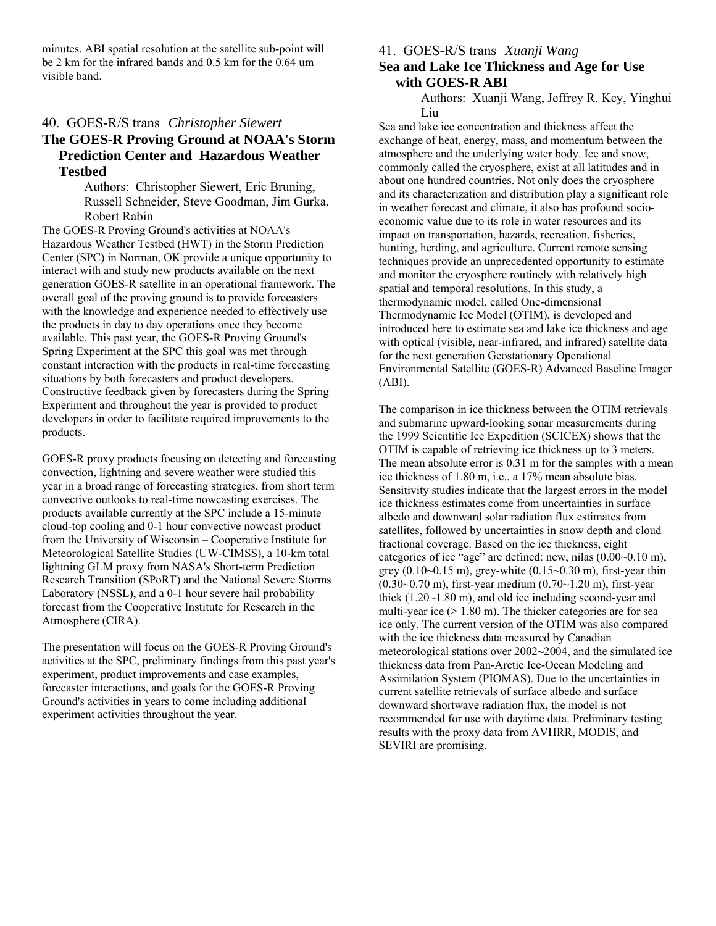minutes. ABI spatial resolution at the satellite sub-point will be 2 km for the infrared bands and 0.5 km for the 0.64 um visible band.

# 40. GOES-R/S trans *Christopher Siewert* **The GOES-R Proving Ground at NOAA's Storm Prediction Center and Hazardous Weather Testbed**

Authors: Christopher Siewert, Eric Bruning, Russell Schneider, Steve Goodman, Jim Gurka, Robert Rabin

The GOES-R Proving Ground's activities at NOAA's Hazardous Weather Testbed (HWT) in the Storm Prediction Center (SPC) in Norman, OK provide a unique opportunity to interact with and study new products available on the next generation GOES-R satellite in an operational framework. The overall goal of the proving ground is to provide forecasters with the knowledge and experience needed to effectively use the products in day to day operations once they become available. This past year, the GOES-R Proving Ground's Spring Experiment at the SPC this goal was met through constant interaction with the products in real-time forecasting situations by both forecasters and product developers. Constructive feedback given by forecasters during the Spring Experiment and throughout the year is provided to product developers in order to facilitate required improvements to the products.

GOES-R proxy products focusing on detecting and forecasting convection, lightning and severe weather were studied this year in a broad range of forecasting strategies, from short term convective outlooks to real-time nowcasting exercises. The products available currently at the SPC include a 15-minute cloud-top cooling and 0-1 hour convective nowcast product from the University of Wisconsin – Cooperative Institute for Meteorological Satellite Studies (UW-CIMSS), a 10-km total lightning GLM proxy from NASA's Short-term Prediction Research Transition (SPoRT) and the National Severe Storms Laboratory (NSSL), and a 0-1 hour severe hail probability forecast from the Cooperative Institute for Research in the Atmosphere (CIRA).

The presentation will focus on the GOES-R Proving Ground's activities at the SPC, preliminary findings from this past year's experiment, product improvements and case examples, forecaster interactions, and goals for the GOES-R Proving Ground's activities in years to come including additional experiment activities throughout the year.

### 41. GOES-R/S trans *Xuanji Wang* **Sea and Lake Ice Thickness and Age for Use**

# **with GOES-R ABI**

Authors: Xuanji Wang, Jeffrey R. Key, Yinghui Liu

Sea and lake ice concentration and thickness affect the exchange of heat, energy, mass, and momentum between the atmosphere and the underlying water body. Ice and snow, commonly called the cryosphere, exist at all latitudes and in about one hundred countries. Not only does the cryosphere and its characterization and distribution play a significant role in weather forecast and climate, it also has profound socioeconomic value due to its role in water resources and its impact on transportation, hazards, recreation, fisheries, hunting, herding, and agriculture. Current remote sensing techniques provide an unprecedented opportunity to estimate and monitor the cryosphere routinely with relatively high spatial and temporal resolutions. In this study, a thermodynamic model, called One-dimensional Thermodynamic Ice Model (OTIM), is developed and introduced here to estimate sea and lake ice thickness and age with optical (visible, near-infrared, and infrared) satellite data for the next generation Geostationary Operational Environmental Satellite (GOES-R) Advanced Baseline Imager (ABI).

The comparison in ice thickness between the OTIM retrievals and submarine upward-looking sonar measurements during the 1999 Scientific Ice Expedition (SCICEX) shows that the OTIM is capable of retrieving ice thickness up to 3 meters. The mean absolute error is 0.31 m for the samples with a mean ice thickness of 1.80 m, i.e., a 17% mean absolute bias. Sensitivity studies indicate that the largest errors in the model ice thickness estimates come from uncertainties in surface albedo and downward solar radiation flux estimates from satellites, followed by uncertainties in snow depth and cloud fractional coverage. Based on the ice thickness, eight categories of ice "age" are defined: new, nilas (0.00~0.10 m), grey  $(0.10{\sim}0.15 \text{ m})$ , grey-white  $(0.15{\sim}0.30 \text{ m})$ , first-year thin  $(0.30~0.70~\text{m})$ , first-year medium  $(0.70~1.20~\text{m})$ , first-year thick (1.20~1.80 m), and old ice including second-year and multi-year ice  $(> 1.80 \text{ m})$ . The thicker categories are for sea ice only. The current version of the OTIM was also compared with the ice thickness data measured by Canadian meteorological stations over 2002~2004, and the simulated ice thickness data from Pan-Arctic Ice-Ocean Modeling and Assimilation System (PIOMAS). Due to the uncertainties in current satellite retrievals of surface albedo and surface downward shortwave radiation flux, the model is not recommended for use with daytime data. Preliminary testing results with the proxy data from AVHRR, MODIS, and SEVIRI are promising.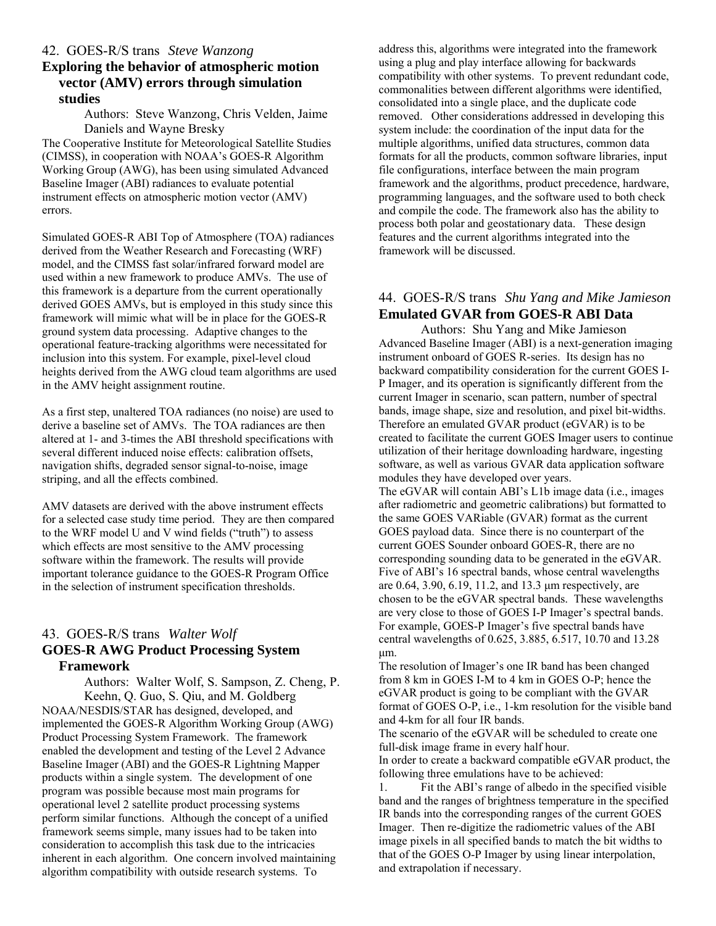#### 42. GOES-R/S trans *Steve Wanzong* **Exploring the behavior of atmospheric motion**

# **vector (AMV) errors through simulation studies**

Authors: Steve Wanzong, Chris Velden, Jaime Daniels and Wayne Bresky

The Cooperative Institute for Meteorological Satellite Studies (CIMSS), in cooperation with NOAA's GOES-R Algorithm Working Group (AWG), has been using simulated Advanced Baseline Imager (ABI) radiances to evaluate potential instrument effects on atmospheric motion vector (AMV) errors.

Simulated GOES-R ABI Top of Atmosphere (TOA) radiances derived from the Weather Research and Forecasting (WRF) model, and the CIMSS fast solar/infrared forward model are used within a new framework to produce AMVs. The use of this framework is a departure from the current operationally derived GOES AMVs, but is employed in this study since this framework will mimic what will be in place for the GOES-R ground system data processing. Adaptive changes to the operational feature-tracking algorithms were necessitated for inclusion into this system. For example, pixel-level cloud heights derived from the AWG cloud team algorithms are used in the AMV height assignment routine.

As a first step, unaltered TOA radiances (no noise) are used to derive a baseline set of AMVs. The TOA radiances are then altered at 1- and 3-times the ABI threshold specifications with several different induced noise effects: calibration offsets, navigation shifts, degraded sensor signal-to-noise, image striping, and all the effects combined.

AMV datasets are derived with the above instrument effects for a selected case study time period. They are then compared to the WRF model U and V wind fields ("truth") to assess which effects are most sensitive to the AMV processing software within the framework. The results will provide important tolerance guidance to the GOES-R Program Office in the selection of instrument specification thresholds.

# 43. GOES-R/S trans *Walter Wolf* **GOES-R AWG Product Processing System Framework**

Authors: Walter Wolf, S. Sampson, Z. Cheng, P. Keehn, Q. Guo, S. Qiu, and M. Goldberg NOAA/NESDIS/STAR has designed, developed, and implemented the GOES-R Algorithm Working Group (AWG) Product Processing System Framework. The framework enabled the development and testing of the Level 2 Advance Baseline Imager (ABI) and the GOES-R Lightning Mapper products within a single system. The development of one program was possible because most main programs for operational level 2 satellite product processing systems perform similar functions. Although the concept of a unified framework seems simple, many issues had to be taken into consideration to accomplish this task due to the intricacies inherent in each algorithm. One concern involved maintaining algorithm compatibility with outside research systems. To

address this, algorithms were integrated into the framework using a plug and play interface allowing for backwards compatibility with other systems. To prevent redundant code, commonalities between different algorithms were identified, consolidated into a single place, and the duplicate code removed. Other considerations addressed in developing this system include: the coordination of the input data for the multiple algorithms, unified data structures, common data formats for all the products, common software libraries, input file configurations, interface between the main program framework and the algorithms, product precedence, hardware, programming languages, and the software used to both check and compile the code. The framework also has the ability to process both polar and geostationary data. These design features and the current algorithms integrated into the framework will be discussed.

### 44. GOES-R/S trans *Shu Yang and Mike Jamieson* **Emulated GVAR from GOES-R ABI Data**

Authors: Shu Yang and Mike Jamieson Advanced Baseline Imager (ABI) is a next-generation imaging instrument onboard of GOES R-series. Its design has no backward compatibility consideration for the current GOES I-P Imager, and its operation is significantly different from the current Imager in scenario, scan pattern, number of spectral bands, image shape, size and resolution, and pixel bit-widths. Therefore an emulated GVAR product (eGVAR) is to be created to facilitate the current GOES Imager users to continue utilization of their heritage downloading hardware, ingesting software, as well as various GVAR data application software modules they have developed over years.

The eGVAR will contain ABI's L1b image data (i.e., images after radiometric and geometric calibrations) but formatted to the same GOES VARiable (GVAR) format as the current GOES payload data. Since there is no counterpart of the current GOES Sounder onboard GOES-R, there are no corresponding sounding data to be generated in the eGVAR. Five of ABI's 16 spectral bands, whose central wavelengths are 0.64, 3.90, 6.19, 11.2, and 13.3 μm respectively, are chosen to be the eGVAR spectral bands. These wavelengths are very close to those of GOES I-P Imager's spectral bands. For example, GOES-P Imager's five spectral bands have central wavelengths of 0.625, 3.885, 6.517, 10.70 and 13.28 μm.

The resolution of Imager's one IR band has been changed from 8 km in GOES I-M to 4 km in GOES O-P; hence the eGVAR product is going to be compliant with the GVAR format of GOES O-P, i.e., 1-km resolution for the visible band and 4-km for all four IR bands.

The scenario of the eGVAR will be scheduled to create one full-disk image frame in every half hour.

In order to create a backward compatible eGVAR product, the following three emulations have to be achieved:

1. Fit the ABI's range of albedo in the specified visible band and the ranges of brightness temperature in the specified IR bands into the corresponding ranges of the current GOES Imager. Then re-digitize the radiometric values of the ABI image pixels in all specified bands to match the bit widths to that of the GOES O-P Imager by using linear interpolation, and extrapolation if necessary.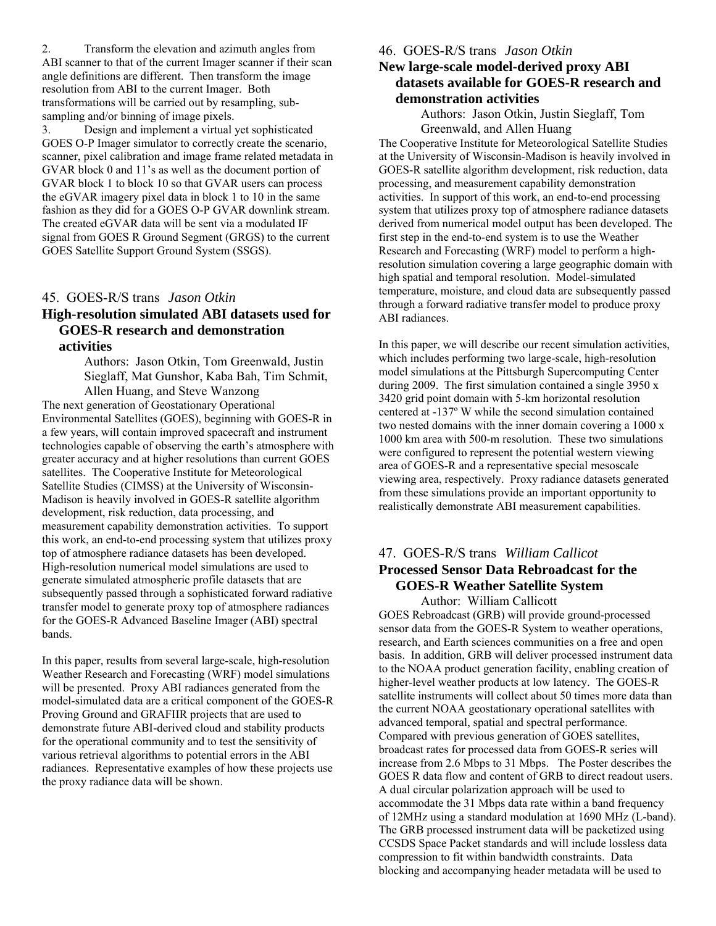2. Transform the elevation and azimuth angles from ABI scanner to that of the current Imager scanner if their scan angle definitions are different. Then transform the image resolution from ABI to the current Imager. Both transformations will be carried out by resampling, subsampling and/or binning of image pixels.

3. Design and implement a virtual yet sophisticated GOES O-P Imager simulator to correctly create the scenario, scanner, pixel calibration and image frame related metadata in GVAR block 0 and 11's as well as the document portion of GVAR block 1 to block 10 so that GVAR users can process the eGVAR imagery pixel data in block 1 to 10 in the same fashion as they did for a GOES O-P GVAR downlink stream. The created eGVAR data will be sent via a modulated IF signal from GOES R Ground Segment (GRGS) to the current GOES Satellite Support Ground System (SSGS).

# 45. GOES-R/S trans *Jason Otkin*

### **High-resolution simulated ABI datasets used for GOES-R research and demonstration activities**

Authors: Jason Otkin, Tom Greenwald, Justin Sieglaff, Mat Gunshor, Kaba Bah, Tim Schmit, Allen Huang, and Steve Wanzong

The next generation of Geostationary Operational Environmental Satellites (GOES), beginning with GOES-R in a few years, will contain improved spacecraft and instrument technologies capable of observing the earth's atmosphere with greater accuracy and at higher resolutions than current GOES satellites. The Cooperative Institute for Meteorological Satellite Studies (CIMSS) at the University of Wisconsin-Madison is heavily involved in GOES-R satellite algorithm development, risk reduction, data processing, and measurement capability demonstration activities. To support this work, an end-to-end processing system that utilizes proxy top of atmosphere radiance datasets has been developed. High-resolution numerical model simulations are used to generate simulated atmospheric profile datasets that are subsequently passed through a sophisticated forward radiative transfer model to generate proxy top of atmosphere radiances for the GOES-R Advanced Baseline Imager (ABI) spectral bands.

In this paper, results from several large-scale, high-resolution Weather Research and Forecasting (WRF) model simulations will be presented. Proxy ABI radiances generated from the model-simulated data are a critical component of the GOES-R Proving Ground and GRAFIIR projects that are used to demonstrate future ABI-derived cloud and stability products for the operational community and to test the sensitivity of various retrieval algorithms to potential errors in the ABI radiances. Representative examples of how these projects use the proxy radiance data will be shown.

#### 46. GOES-R/S trans *Jason Otkin*

# **New large-scale model-derived proxy ABI datasets available for GOES-R research and demonstration activities**

Authors: Jason Otkin, Justin Sieglaff, Tom Greenwald, and Allen Huang

The Cooperative Institute for Meteorological Satellite Studies at the University of Wisconsin-Madison is heavily involved in GOES-R satellite algorithm development, risk reduction, data processing, and measurement capability demonstration activities. In support of this work, an end-to-end processing system that utilizes proxy top of atmosphere radiance datasets derived from numerical model output has been developed. The first step in the end-to-end system is to use the Weather Research and Forecasting (WRF) model to perform a highresolution simulation covering a large geographic domain with high spatial and temporal resolution. Model-simulated temperature, moisture, and cloud data are subsequently passed through a forward radiative transfer model to produce proxy ABI radiances.

In this paper, we will describe our recent simulation activities, which includes performing two large-scale, high-resolution model simulations at the Pittsburgh Supercomputing Center during 2009. The first simulation contained a single 3950 x 3420 grid point domain with 5-km horizontal resolution centered at -137º W while the second simulation contained two nested domains with the inner domain covering a 1000 x 1000 km area with 500-m resolution. These two simulations were configured to represent the potential western viewing area of GOES-R and a representative special mesoscale viewing area, respectively. Proxy radiance datasets generated from these simulations provide an important opportunity to realistically demonstrate ABI measurement capabilities.

# 47. GOES-R/S trans *William Callicot* **Processed Sensor Data Rebroadcast for the GOES-R Weather Satellite System**

Author: William Callicott

GOES Rebroadcast (GRB) will provide ground-processed sensor data from the GOES-R System to weather operations, research, and Earth sciences communities on a free and open basis. In addition, GRB will deliver processed instrument data to the NOAA product generation facility, enabling creation of higher-level weather products at low latency. The GOES-R satellite instruments will collect about 50 times more data than the current NOAA geostationary operational satellites with advanced temporal, spatial and spectral performance. Compared with previous generation of GOES satellites, broadcast rates for processed data from GOES-R series will increase from 2.6 Mbps to 31 Mbps. The Poster describes the GOES R data flow and content of GRB to direct readout users. A dual circular polarization approach will be used to accommodate the 31 Mbps data rate within a band frequency of 12MHz using a standard modulation at 1690 MHz (L-band). The GRB processed instrument data will be packetized using CCSDS Space Packet standards and will include lossless data compression to fit within bandwidth constraints. Data blocking and accompanying header metadata will be used to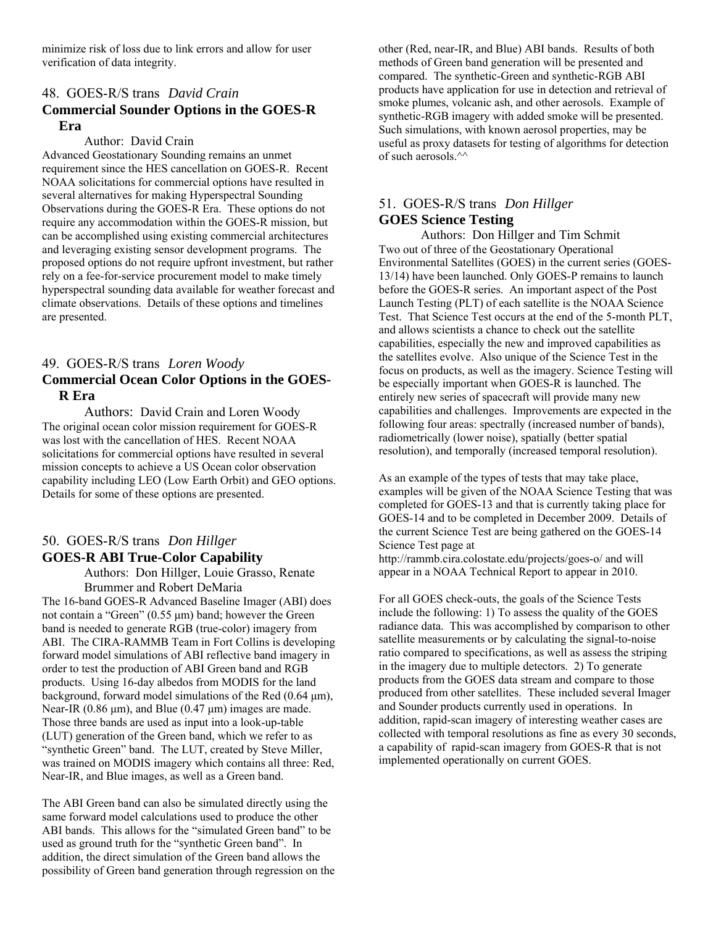minimize risk of loss due to link errors and allow for user verification of data integrity.

### 48. GOES-R/S trans *David Crain* **Commercial Sounder Options in the GOES-R Era**

#### Author: David Crain

Advanced Geostationary Sounding remains an unmet requirement since the HES cancellation on GOES-R. Recent NOAA solicitations for commercial options have resulted in several alternatives for making Hyperspectral Sounding Observations during the GOES-R Era. These options do not require any accommodation within the GOES-R mission, but can be accomplished using existing commercial architectures and leveraging existing sensor development programs. The proposed options do not require upfront investment, but rather rely on a fee-for-service procurement model to make timely hyperspectral sounding data available for weather forecast and climate observations. Details of these options and timelines are presented.

### 49. GOES-R/S trans *Loren Woody*  **Commercial Ocean Color Options in the GOES-R Era**

 Authors: David Crain and Loren Woody The original ocean color mission requirement for GOES-R was lost with the cancellation of HES. Recent NOAA solicitations for commercial options have resulted in several mission concepts to achieve a US Ocean color observation capability including LEO (Low Earth Orbit) and GEO options. Details for some of these options are presented.

### 50. GOES-R/S trans *Don Hillger* **GOES-R ABI True-Color Capability**

Authors: Don Hillger, Louie Grasso, Renate Brummer and Robert DeMaria

The 16-band GOES-R Advanced Baseline Imager (ABI) does not contain a "Green" (0.55 μm) band; however the Green band is needed to generate RGB (true-color) imagery from ABI. The CIRA-RAMMB Team in Fort Collins is developing forward model simulations of ABI reflective band imagery in order to test the production of ABI Green band and RGB products. Using 16-day albedos from MODIS for the land background, forward model simulations of the Red (0.64 μm), Near-IR  $(0.86 \mu m)$ , and Blue  $(0.47 \mu m)$  images are made. Those three bands are used as input into a look-up-table (LUT) generation of the Green band, which we refer to as "synthetic Green" band. The LUT, created by Steve Miller, was trained on MODIS imagery which contains all three: Red, Near-IR, and Blue images, as well as a Green band.

The ABI Green band can also be simulated directly using the same forward model calculations used to produce the other ABI bands. This allows for the "simulated Green band" to be used as ground truth for the "synthetic Green band". In addition, the direct simulation of the Green band allows the possibility of Green band generation through regression on the

other (Red, near-IR, and Blue) ABI bands. Results of both methods of Green band generation will be presented and compared. The synthetic-Green and synthetic-RGB ABI products have application for use in detection and retrieval of smoke plumes, volcanic ash, and other aerosols. Example of synthetic-RGB imagery with added smoke will be presented. Such simulations, with known aerosol properties, may be useful as proxy datasets for testing of algorithms for detection of such aerosols.^^

# 51. GOES-R/S trans *Don Hillger*  **GOES Science Testing**

Authors: Don Hillger and Tim Schmit Two out of three of the Geostationary Operational Environmental Satellites (GOES) in the current series (GOES-13/14) have been launched. Only GOES-P remains to launch before the GOES-R series. An important aspect of the Post Launch Testing (PLT) of each satellite is the NOAA Science Test. That Science Test occurs at the end of the 5-month PLT, and allows scientists a chance to check out the satellite capabilities, especially the new and improved capabilities as the satellites evolve. Also unique of the Science Test in the focus on products, as well as the imagery. Science Testing will be especially important when GOES-R is launched. The entirely new series of spacecraft will provide many new capabilities and challenges. Improvements are expected in the following four areas: spectrally (increased number of bands), radiometrically (lower noise), spatially (better spatial resolution), and temporally (increased temporal resolution).

As an example of the types of tests that may take place, examples will be given of the NOAA Science Testing that was completed for GOES-13 and that is currently taking place for GOES-14 and to be completed in December 2009. Details of the current Science Test are being gathered on the GOES-14 Science Test page at http://rammb.cira.colostate.edu/projects/goes-o/ and will appear in a NOAA Technical Report to appear in 2010.

For all GOES check-outs, the goals of the Science Tests include the following: 1) To assess the quality of the GOES radiance data. This was accomplished by comparison to other satellite measurements or by calculating the signal-to-noise ratio compared to specifications, as well as assess the striping in the imagery due to multiple detectors. 2) To generate products from the GOES data stream and compare to those produced from other satellites. These included several Imager and Sounder products currently used in operations. In addition, rapid-scan imagery of interesting weather cases are collected with temporal resolutions as fine as every 30 seconds, a capability of rapid-scan imagery from GOES-R that is not implemented operationally on current GOES.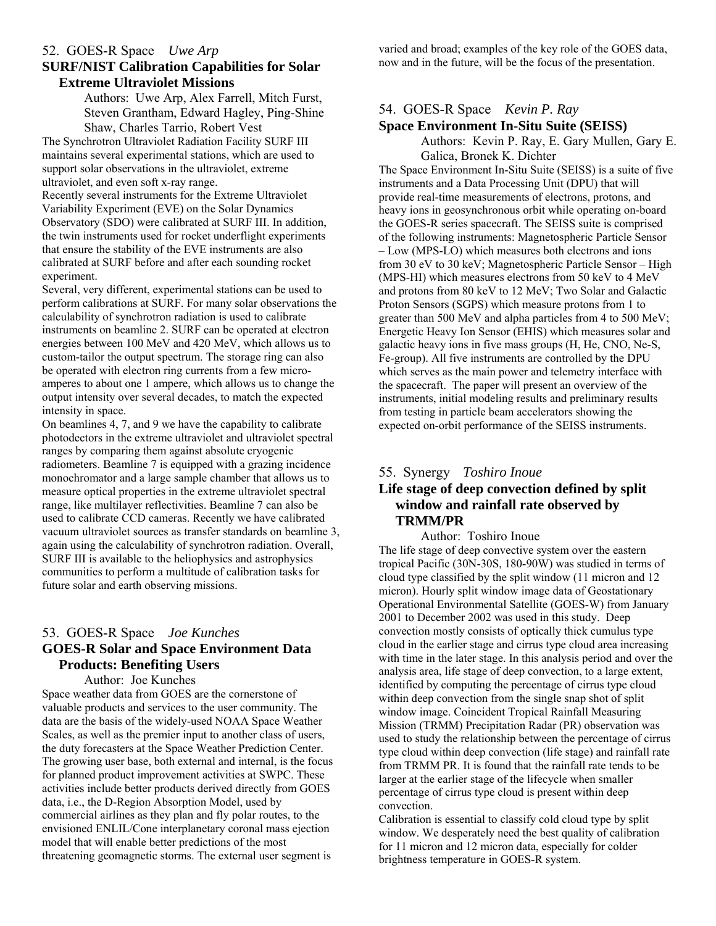#### 52. GOES-R Space *Uwe Arp*

Authors: Uwe Arp, Alex Farrell, Mitch Furst, Steven Grantham, Edward Hagley, Ping-Shine Shaw, Charles Tarrio, Robert Vest

The Synchrotron Ultraviolet Radiation Facility SURF III maintains several experimental stations, which are used to support solar observations in the ultraviolet, extreme ultraviolet, and even soft x-ray range.

Recently several instruments for the Extreme Ultraviolet Variability Experiment (EVE) on the Solar Dynamics Observatory (SDO) were calibrated at SURF III. In addition, the twin instruments used for rocket underflight experiments that ensure the stability of the EVE instruments are also calibrated at SURF before and after each sounding rocket experiment.

Several, very different, experimental stations can be used to perform calibrations at SURF. For many solar observations the calculability of synchrotron radiation is used to calibrate instruments on beamline 2. SURF can be operated at electron energies between 100 MeV and 420 MeV, which allows us to custom-tailor the output spectrum. The storage ring can also be operated with electron ring currents from a few microamperes to about one 1 ampere, which allows us to change the output intensity over several decades, to match the expected intensity in space.

On beamlines 4, 7, and 9 we have the capability to calibrate photodectors in the extreme ultraviolet and ultraviolet spectral ranges by comparing them against absolute cryogenic radiometers. Beamline 7 is equipped with a grazing incidence monochromator and a large sample chamber that allows us to measure optical properties in the extreme ultraviolet spectral range, like multilayer reflectivities. Beamline 7 can also be used to calibrate CCD cameras. Recently we have calibrated vacuum ultraviolet sources as transfer standards on beamline 3, again using the calculability of synchrotron radiation. Overall, SURF III is available to the heliophysics and astrophysics communities to perform a multitude of calibration tasks for future solar and earth observing missions.

### 53. GOES-R Space *Joe Kunches* **GOES-R Solar and Space Environment Data Products: Benefiting Users**

#### Author: Joe Kunches

Space weather data from GOES are the cornerstone of valuable products and services to the user community. The data are the basis of the widely-used NOAA Space Weather Scales, as well as the premier input to another class of users, the duty forecasters at the Space Weather Prediction Center. The growing user base, both external and internal, is the focus for planned product improvement activities at SWPC. These activities include better products derived directly from GOES data, i.e., the D-Region Absorption Model, used by commercial airlines as they plan and fly polar routes, to the envisioned ENLIL/Cone interplanetary coronal mass ejection model that will enable better predictions of the most threatening geomagnetic storms. The external user segment is

varied and broad; examples of the key role of the GOES data, now and in the future, will be the focus of the presentation.

# 54. GOES-R Space *Kevin P. Ray* **Space Environment In-Situ Suite (SEISS)**

Authors: Kevin P. Ray, E. Gary Mullen, Gary E. Galica, Bronek K. Dichter

The Space Environment In-Situ Suite (SEISS) is a suite of five instruments and a Data Processing Unit (DPU) that will provide real-time measurements of electrons, protons, and heavy ions in geosynchronous orbit while operating on-board the GOES-R series spacecraft. The SEISS suite is comprised of the following instruments: Magnetospheric Particle Sensor – Low (MPS-LO) which measures both electrons and ions from 30 eV to 30 keV; Magnetospheric Particle Sensor – High (MPS-HI) which measures electrons from 50 keV to 4 MeV and protons from 80 keV to 12 MeV; Two Solar and Galactic Proton Sensors (SGPS) which measure protons from 1 to greater than 500 MeV and alpha particles from 4 to 500 MeV; Energetic Heavy Ion Sensor (EHIS) which measures solar and galactic heavy ions in five mass groups (H, He, CNO, Ne-S, Fe-group). All five instruments are controlled by the DPU which serves as the main power and telemetry interface with the spacecraft. The paper will present an overview of the instruments, initial modeling results and preliminary results from testing in particle beam accelerators showing the expected on-orbit performance of the SEISS instruments.

### 55. Synergy *Toshiro Inoue*

# **Life stage of deep convection defined by split window and rainfall rate observed by TRMM/PR**

Author: Toshiro Inoue

The life stage of deep convective system over the eastern tropical Pacific (30N-30S, 180-90W) was studied in terms of cloud type classified by the split window (11 micron and 12 micron). Hourly split window image data of Geostationary Operational Environmental Satellite (GOES-W) from January 2001 to December 2002 was used in this study. Deep convection mostly consists of optically thick cumulus type cloud in the earlier stage and cirrus type cloud area increasing with time in the later stage. In this analysis period and over the analysis area, life stage of deep convection, to a large extent, identified by computing the percentage of cirrus type cloud within deep convection from the single snap shot of split window image. Coincident Tropical Rainfall Measuring Mission (TRMM) Precipitation Radar (PR) observation was used to study the relationship between the percentage of cirrus type cloud within deep convection (life stage) and rainfall rate from TRMM PR. It is found that the rainfall rate tends to be larger at the earlier stage of the lifecycle when smaller percentage of cirrus type cloud is present within deep convection.

Calibration is essential to classify cold cloud type by split window. We desperately need the best quality of calibration for 11 micron and 12 micron data, especially for colder brightness temperature in GOES-R system.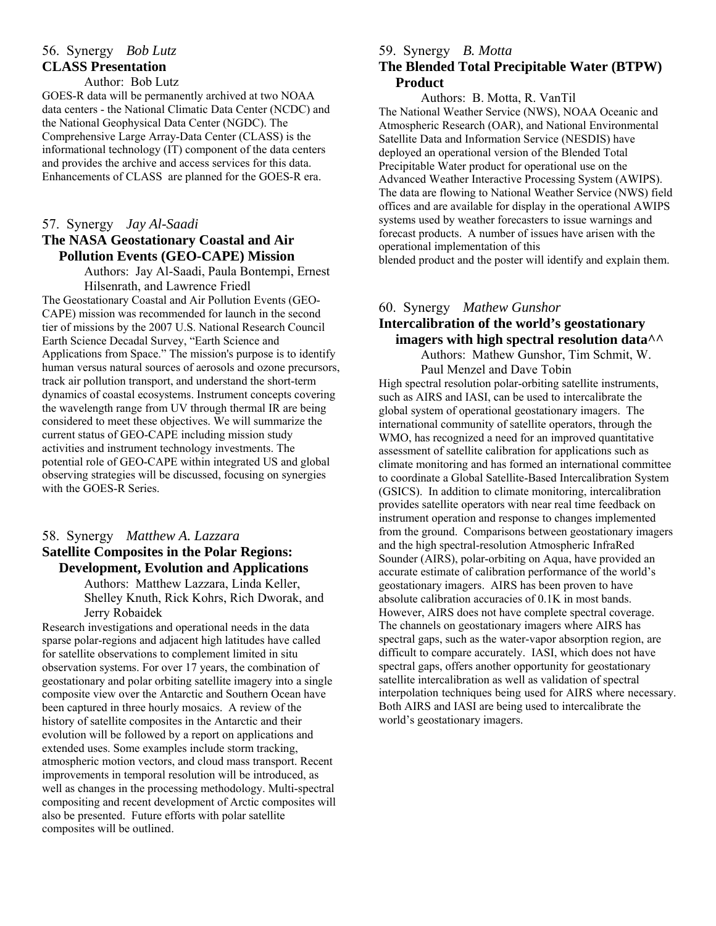# 56. Synergy *Bob Lutz* **CLASS Presentation**

Author: Bob Lutz

GOES-R data will be permanently archived at two NOAA data centers - the National Climatic Data Center (NCDC) and the National Geophysical Data Center (NGDC). The Comprehensive Large Array-Data Center (CLASS) is the informational technology (IT) component of the data centers and provides the archive and access services for this data. Enhancements of CLASS are planned for the GOES-R era.

### 57. Synergy *Jay Al-Saadi* **The NASA Geostationary Coastal and Air Pollution Events (GEO-CAPE) Mission**

Authors: Jay Al-Saadi, Paula Bontempi, Ernest Hilsenrath, and Lawrence Friedl

The Geostationary Coastal and Air Pollution Events (GEO-CAPE) mission was recommended for launch in the second tier of missions by the 2007 U.S. National Research Council Earth Science Decadal Survey, "Earth Science and Applications from Space." The mission's purpose is to identify human versus natural sources of aerosols and ozone precursors, track air pollution transport, and understand the short-term dynamics of coastal ecosystems. Instrument concepts covering the wavelength range from UV through thermal IR are being considered to meet these objectives. We will summarize the current status of GEO-CAPE including mission study activities and instrument technology investments. The potential role of GEO-CAPE within integrated US and global observing strategies will be discussed, focusing on synergies with the GOES-R Series.

# 58. Synergy *Matthew A. Lazzara* **Satellite Composites in the Polar Regions: Development, Evolution and Applications**

Authors: Matthew Lazzara, Linda Keller, Shelley Knuth, Rick Kohrs, Rich Dworak, and Jerry Robaidek

Research investigations and operational needs in the data sparse polar-regions and adjacent high latitudes have called for satellite observations to complement limited in situ observation systems. For over 17 years, the combination of geostationary and polar orbiting satellite imagery into a single composite view over the Antarctic and Southern Ocean have been captured in three hourly mosaics. A review of the history of satellite composites in the Antarctic and their evolution will be followed by a report on applications and extended uses. Some examples include storm tracking, atmospheric motion vectors, and cloud mass transport. Recent improvements in temporal resolution will be introduced, as well as changes in the processing methodology. Multi-spectral compositing and recent development of Arctic composites will also be presented. Future efforts with polar satellite composites will be outlined.

### 59. Synergy *B. Motta* **The Blended Total Precipitable Water (BTPW) Product**

Authors: B. Motta, R. VanTil

The National Weather Service (NWS), NOAA Oceanic and Atmospheric Research (OAR), and National Environmental Satellite Data and Information Service (NESDIS) have deployed an operational version of the Blended Total Precipitable Water product for operational use on the Advanced Weather Interactive Processing System (AWIPS). The data are flowing to National Weather Service (NWS) field offices and are available for display in the operational AWIPS systems used by weather forecasters to issue warnings and forecast products. A number of issues have arisen with the operational implementation of this blended product and the poster will identify and explain them.

# 60. Synergy *Mathew Gunshor*

### **Intercalibration of the world's geostationary imagers with high spectral resolution data^^**

Authors: Mathew Gunshor, Tim Schmit, W. Paul Menzel and Dave Tobin

High spectral resolution polar-orbiting satellite instruments, such as AIRS and IASI, can be used to intercalibrate the global system of operational geostationary imagers. The international community of satellite operators, through the WMO, has recognized a need for an improved quantitative assessment of satellite calibration for applications such as climate monitoring and has formed an international committee to coordinate a Global Satellite-Based Intercalibration System (GSICS). In addition to climate monitoring, intercalibration provides satellite operators with near real time feedback on instrument operation and response to changes implemented from the ground. Comparisons between geostationary imagers and the high spectral-resolution Atmospheric InfraRed Sounder (AIRS), polar-orbiting on Aqua, have provided an accurate estimate of calibration performance of the world's geostationary imagers. AIRS has been proven to have absolute calibration accuracies of 0.1K in most bands. However, AIRS does not have complete spectral coverage. The channels on geostationary imagers where AIRS has spectral gaps, such as the water-vapor absorption region, are difficult to compare accurately. IASI, which does not have spectral gaps, offers another opportunity for geostationary satellite intercalibration as well as validation of spectral interpolation techniques being used for AIRS where necessary. Both AIRS and IASI are being used to intercalibrate the world's geostationary imagers.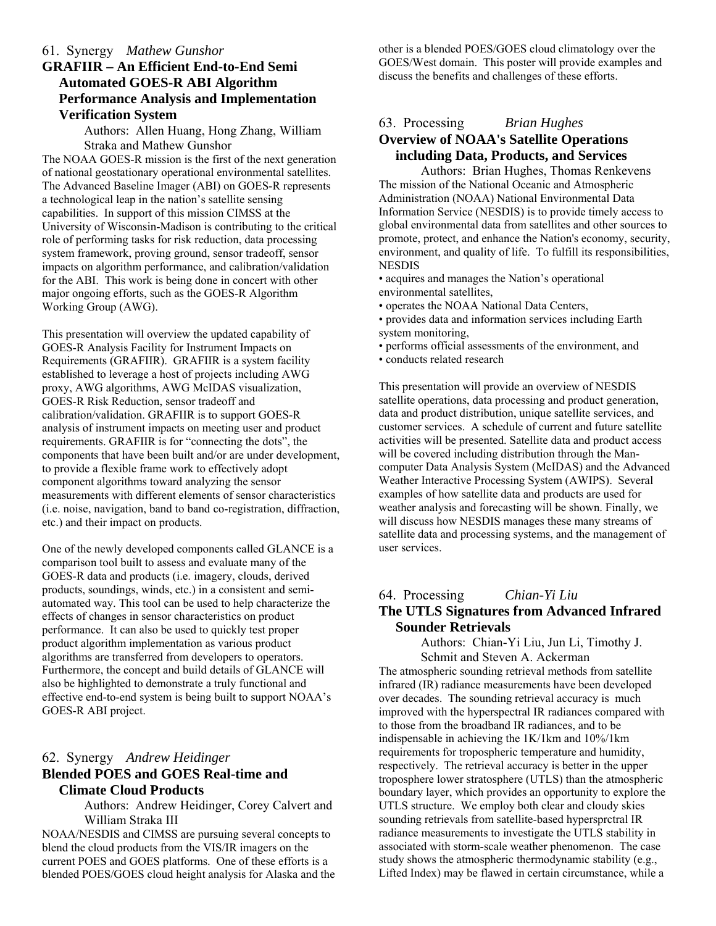#### 61. Synergy *Mathew Gunshor*

# **GRAFIIR – An Efficient End-to-End Semi Automated GOES-R ABI Algorithm Performance Analysis and Implementation Verification System**

Authors: Allen Huang, Hong Zhang, William Straka and Mathew Gunshor

The NOAA GOES-R mission is the first of the next generation of national geostationary operational environmental satellites. The Advanced Baseline Imager (ABI) on GOES-R represents a technological leap in the nation's satellite sensing capabilities. In support of this mission CIMSS at the University of Wisconsin-Madison is contributing to the critical role of performing tasks for risk reduction, data processing system framework, proving ground, sensor tradeoff, sensor impacts on algorithm performance, and calibration/validation for the ABI. This work is being done in concert with other major ongoing efforts, such as the GOES-R Algorithm Working Group (AWG).

This presentation will overview the updated capability of GOES-R Analysis Facility for Instrument Impacts on Requirements (GRAFIIR). GRAFIIR is a system facility established to leverage a host of projects including AWG proxy, AWG algorithms, AWG McIDAS visualization, GOES-R Risk Reduction, sensor tradeoff and calibration/validation. GRAFIIR is to support GOES-R analysis of instrument impacts on meeting user and product requirements. GRAFIIR is for "connecting the dots", the components that have been built and/or are under development, to provide a flexible frame work to effectively adopt component algorithms toward analyzing the sensor measurements with different elements of sensor characteristics (i.e. noise, navigation, band to band co-registration, diffraction, etc.) and their impact on products.

One of the newly developed components called GLANCE is a comparison tool built to assess and evaluate many of the GOES-R data and products (i.e. imagery, clouds, derived products, soundings, winds, etc.) in a consistent and semiautomated way. This tool can be used to help characterize the effects of changes in sensor characteristics on product performance. It can also be used to quickly test proper product algorithm implementation as various product algorithms are transferred from developers to operators. Furthermore, the concept and build details of GLANCE will also be highlighted to demonstrate a truly functional and effective end-to-end system is being built to support NOAA's GOES-R ABI project.

### 62. Synergy *Andrew Heidinger* **Blended POES and GOES Real-time and Climate Cloud Products**

Authors: Andrew Heidinger, Corey Calvert and William Straka III

NOAA/NESDIS and CIMSS are pursuing several concepts to blend the cloud products from the VIS/IR imagers on the current POES and GOES platforms. One of these efforts is a blended POES/GOES cloud height analysis for Alaska and the other is a blended POES/GOES cloud climatology over the GOES/West domain. This poster will provide examples and discuss the benefits and challenges of these efforts.

# 63. Processing *Brian Hughes* **Overview of NOAA's Satellite Operations including Data, Products, and Services**

Authors: Brian Hughes, Thomas Renkevens The mission of the National Oceanic and Atmospheric Administration (NOAA) National Environmental Data Information Service (NESDIS) is to provide timely access to global environmental data from satellites and other sources to promote, protect, and enhance the Nation's economy, security, environment, and quality of life. To fulfill its responsibilities, **NESDIS** 

• acquires and manages the Nation's operational environmental satellites,

- operates the NOAA National Data Centers,
- provides data and information services including Earth system monitoring,
- performs official assessments of the environment, and
- conducts related research

This presentation will provide an overview of NESDIS satellite operations, data processing and product generation, data and product distribution, unique satellite services, and customer services. A schedule of current and future satellite activities will be presented. Satellite data and product access will be covered including distribution through the Mancomputer Data Analysis System (McIDAS) and the Advanced Weather Interactive Processing System (AWIPS). Several examples of how satellite data and products are used for weather analysis and forecasting will be shown. Finally, we will discuss how NESDIS manages these many streams of satellite data and processing systems, and the management of user services.

# 64. Processing *Chian-Yi Liu* **The UTLS Signatures from Advanced Infrared Sounder Retrievals**

Authors: Chian-Yi Liu, Jun Li, Timothy J. Schmit and Steven A. Ackerman The atmospheric sounding retrieval methods from satellite infrared (IR) radiance measurements have been developed over decades. The sounding retrieval accuracy is much improved with the hyperspectral IR radiances compared with to those from the broadband IR radiances, and to be indispensable in achieving the 1K/1km and 10%/1km requirements for tropospheric temperature and humidity, respectively. The retrieval accuracy is better in the upper troposphere lower stratosphere (UTLS) than the atmospheric boundary layer, which provides an opportunity to explore the UTLS structure. We employ both clear and cloudy skies sounding retrievals from satellite-based hypersprctral IR radiance measurements to investigate the UTLS stability in associated with storm-scale weather phenomenon. The case study shows the atmospheric thermodynamic stability (e.g., Lifted Index) may be flawed in certain circumstance, while a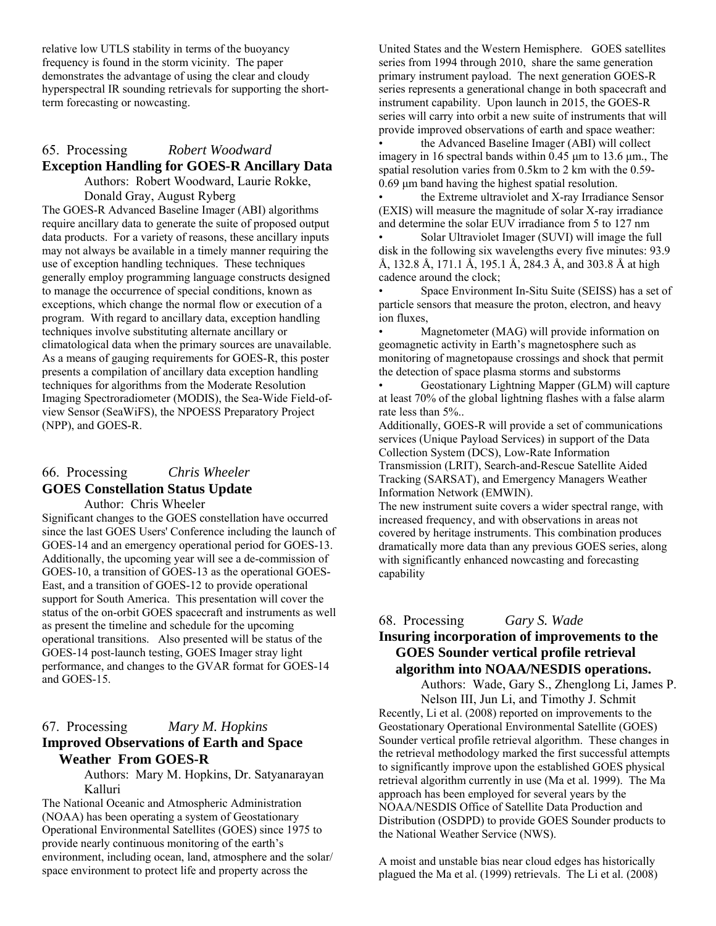relative low UTLS stability in terms of the buoyancy frequency is found in the storm vicinity. The paper demonstrates the advantage of using the clear and cloudy hyperspectral IR sounding retrievals for supporting the shortterm forecasting or nowcasting.

# 65. Processing *Robert Woodward* **Exception Handling for GOES-R Ancillary Data**

Authors: Robert Woodward, Laurie Rokke, Donald Gray, August Ryberg

The GOES-R Advanced Baseline Imager (ABI) algorithms require ancillary data to generate the suite of proposed output data products. For a variety of reasons, these ancillary inputs may not always be available in a timely manner requiring the use of exception handling techniques. These techniques generally employ programming language constructs designed to manage the occurrence of special conditions, known as exceptions, which change the normal flow or execution of a program. With regard to ancillary data, exception handling techniques involve substituting alternate ancillary or climatological data when the primary sources are unavailable. As a means of gauging requirements for GOES-R, this poster presents a compilation of ancillary data exception handling techniques for algorithms from the Moderate Resolution Imaging Spectroradiometer (MODIS), the Sea-Wide Field-ofview Sensor (SeaWiFS), the NPOESS Preparatory Project (NPP), and GOES-R.

#### 66. Processing *Chris Wheeler* **GOES Constellation Status Update**  Author: Chris Wheeler

Significant changes to the GOES constellation have occurred since the last GOES Users' Conference including the launch of GOES-14 and an emergency operational period for GOES-13. Additionally, the upcoming year will see a de-commission of GOES-10, a transition of GOES-13 as the operational GOES-East, and a transition of GOES-12 to provide operational support for South America. This presentation will cover the status of the on-orbit GOES spacecraft and instruments as well as present the timeline and schedule for the upcoming operational transitions. Also presented will be status of the GOES-14 post-launch testing, GOES Imager stray light performance, and changes to the GVAR format for GOES-14 and GOES-15.

# 67. Processing *Mary M. Hopkins* **Improved Observations of Earth and Space Weather From GOES-R**

Authors: Mary M. Hopkins, Dr. Satyanarayan Kalluri

The National Oceanic and Atmospheric Administration (NOAA) has been operating a system of Geostationary Operational Environmental Satellites (GOES) since 1975 to provide nearly continuous monitoring of the earth's environment, including ocean, land, atmosphere and the solar/ space environment to protect life and property across the

United States and the Western Hemisphere. GOES satellites series from 1994 through 2010, share the same generation primary instrument payload. The next generation GOES-R series represents a generational change in both spacecraft and instrument capability. Upon launch in 2015, the GOES-R series will carry into orbit a new suite of instruments that will provide improved observations of earth and space weather:

• the Advanced Baseline Imager (ABI) will collect imagery in 16 spectral bands within 0.45 μm to 13.6 μm., The spatial resolution varies from 0.5km to 2 km with the 0.59- 0.69 μm band having the highest spatial resolution.

the Extreme ultraviolet and X-ray Irradiance Sensor (EXIS) will measure the magnitude of solar X-ray irradiance and determine the solar EUV irradiance from 5 to 127 nm

• Solar Ultraviolet Imager (SUVI) will image the full disk in the following six wavelengths every five minutes: 93.9 Å, 132.8 Å, 171.1 Å, 195.1 Å, 284.3 Å, and 303.8 Å at high cadence around the clock;

• Space Environment In-Situ Suite (SEISS) has a set of particle sensors that measure the proton, electron, and heavy ion fluxes,

Magnetometer (MAG) will provide information on geomagnetic activity in Earth's magnetosphere such as monitoring of magnetopause crossings and shock that permit the detection of space plasma storms and substorms

• Geostationary Lightning Mapper (GLM) will capture at least 70% of the global lightning flashes with a false alarm rate less than 5%..

Additionally, GOES-R will provide a set of communications services (Unique Payload Services) in support of the Data Collection System (DCS), Low-Rate Information Transmission (LRIT), Search-and-Rescue Satellite Aided Tracking (SARSAT), and Emergency Managers Weather Information Network (EMWIN).

The new instrument suite covers a wider spectral range, with increased frequency, and with observations in areas not covered by heritage instruments. This combination produces dramatically more data than any previous GOES series, along with significantly enhanced nowcasting and forecasting capability

# 68. Processing *Gary S. Wade*

# **Insuring incorporation of improvements to the GOES Sounder vertical profile retrieval algorithm into NOAA/NESDIS operations.**

Authors: Wade, Gary S., Zhenglong Li, James P. Nelson III, Jun Li, and Timothy J. Schmit

Recently, Li et al. (2008) reported on improvements to the Geostationary Operational Environmental Satellite (GOES) Sounder vertical profile retrieval algorithm. These changes in the retrieval methodology marked the first successful attempts to significantly improve upon the established GOES physical retrieval algorithm currently in use (Ma et al. 1999). The Ma approach has been employed for several years by the NOAA/NESDIS Office of Satellite Data Production and Distribution (OSDPD) to provide GOES Sounder products to the National Weather Service (NWS).

A moist and unstable bias near cloud edges has historically plagued the Ma et al. (1999) retrievals. The Li et al. (2008)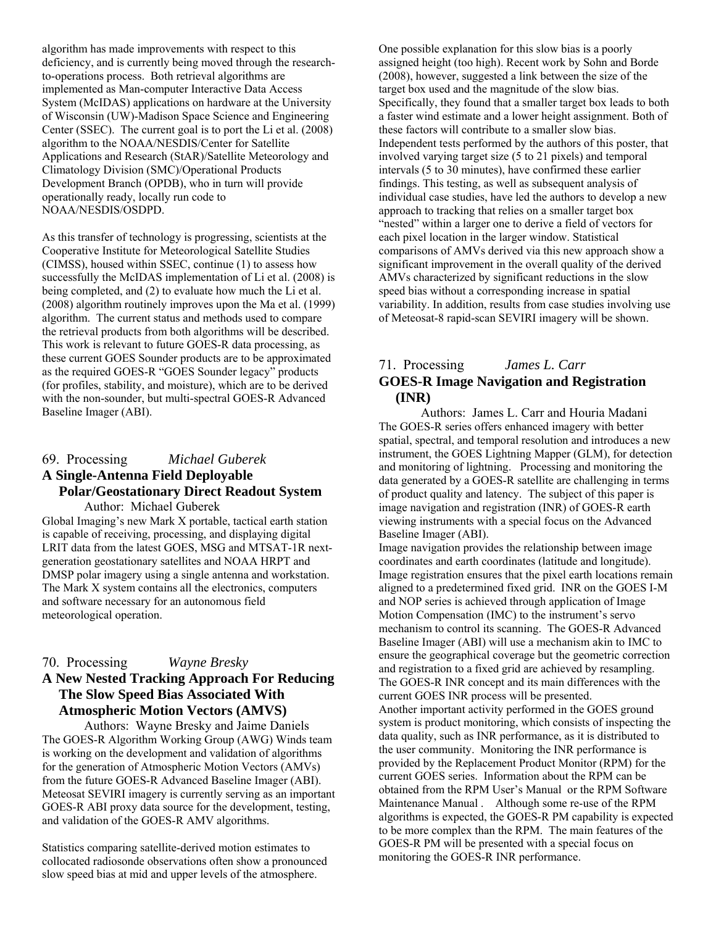algorithm has made improvements with respect to this deficiency, and is currently being moved through the researchto-operations process. Both retrieval algorithms are implemented as Man-computer Interactive Data Access System (McIDAS) applications on hardware at the University of Wisconsin (UW)-Madison Space Science and Engineering Center (SSEC). The current goal is to port the Li et al. (2008) algorithm to the NOAA/NESDIS/Center for Satellite Applications and Research (StAR)/Satellite Meteorology and Climatology Division (SMC)/Operational Products Development Branch (OPDB), who in turn will provide operationally ready, locally run code to NOAA/NESDIS/OSDPD.

As this transfer of technology is progressing, scientists at the Cooperative Institute for Meteorological Satellite Studies (CIMSS), housed within SSEC, continue (1) to assess how successfully the McIDAS implementation of Li et al. (2008) is being completed, and (2) to evaluate how much the Li et al. (2008) algorithm routinely improves upon the Ma et al. (1999) algorithm. The current status and methods used to compare the retrieval products from both algorithms will be described. This work is relevant to future GOES-R data processing, as these current GOES Sounder products are to be approximated as the required GOES-R "GOES Sounder legacy" products (for profiles, stability, and moisture), which are to be derived with the non-sounder, but multi-spectral GOES-R Advanced Baseline Imager (ABI).

### 69. Processing *Michael Guberek* **A Single-Antenna Field Deployable Polar/Geostationary Direct Readout System**  Author: Michael Guberek

Global Imaging's new Mark X portable, tactical earth station is capable of receiving, processing, and displaying digital LRIT data from the latest GOES, MSG and MTSAT-1R nextgeneration geostationary satellites and NOAA HRPT and DMSP polar imagery using a single antenna and workstation. The Mark X system contains all the electronics, computers and software necessary for an autonomous field meteorological operation.

#### 70. Processing *Wayne Bresky*

# **A New Nested Tracking Approach For Reducing The Slow Speed Bias Associated With Atmospheric Motion Vectors (AMVS)**

Authors: Wayne Bresky and Jaime Daniels The GOES-R Algorithm Working Group (AWG) Winds team is working on the development and validation of algorithms for the generation of Atmospheric Motion Vectors (AMVs) from the future GOES-R Advanced Baseline Imager (ABI). Meteosat SEVIRI imagery is currently serving as an important GOES-R ABI proxy data source for the development, testing, and validation of the GOES-R AMV algorithms.

Statistics comparing satellite-derived motion estimates to collocated radiosonde observations often show a pronounced slow speed bias at mid and upper levels of the atmosphere.

One possible explanation for this slow bias is a poorly assigned height (too high). Recent work by Sohn and Borde (2008), however, suggested a link between the size of the target box used and the magnitude of the slow bias. Specifically, they found that a smaller target box leads to both a faster wind estimate and a lower height assignment. Both of these factors will contribute to a smaller slow bias. Independent tests performed by the authors of this poster, that involved varying target size (5 to 21 pixels) and temporal intervals (5 to 30 minutes), have confirmed these earlier findings. This testing, as well as subsequent analysis of individual case studies, have led the authors to develop a new approach to tracking that relies on a smaller target box "nested" within a larger one to derive a field of vectors for each pixel location in the larger window. Statistical comparisons of AMVs derived via this new approach show a significant improvement in the overall quality of the derived AMVs characterized by significant reductions in the slow speed bias without a corresponding increase in spatial variability. In addition, results from case studies involving use of Meteosat-8 rapid-scan SEVIRI imagery will be shown.

### 71. Processing *James L. Carr* **GOES-R Image Navigation and Registration (INR)**

Authors: James L. Carr and Houria Madani The GOES-R series offers enhanced imagery with better spatial, spectral, and temporal resolution and introduces a new instrument, the GOES Lightning Mapper (GLM), for detection and monitoring of lightning. Processing and monitoring the data generated by a GOES-R satellite are challenging in terms of product quality and latency. The subject of this paper is image navigation and registration (INR) of GOES-R earth viewing instruments with a special focus on the Advanced Baseline Imager (ABI).

Image navigation provides the relationship between image coordinates and earth coordinates (latitude and longitude). Image registration ensures that the pixel earth locations remain aligned to a predetermined fixed grid. INR on the GOES I-M and NOP series is achieved through application of Image Motion Compensation (IMC) to the instrument's servo mechanism to control its scanning. The GOES-R Advanced Baseline Imager (ABI) will use a mechanism akin to IMC to ensure the geographical coverage but the geometric correction and registration to a fixed grid are achieved by resampling. The GOES-R INR concept and its main differences with the current GOES INR process will be presented. Another important activity performed in the GOES ground system is product monitoring, which consists of inspecting the data quality, such as INR performance, as it is distributed to the user community. Monitoring the INR performance is provided by the Replacement Product Monitor (RPM) for the current GOES series. Information about the RPM can be obtained from the RPM User's Manual or the RPM Software Maintenance Manual . Although some re-use of the RPM algorithms is expected, the GOES-R PM capability is expected to be more complex than the RPM. The main features of the GOES-R PM will be presented with a special focus on monitoring the GOES-R INR performance.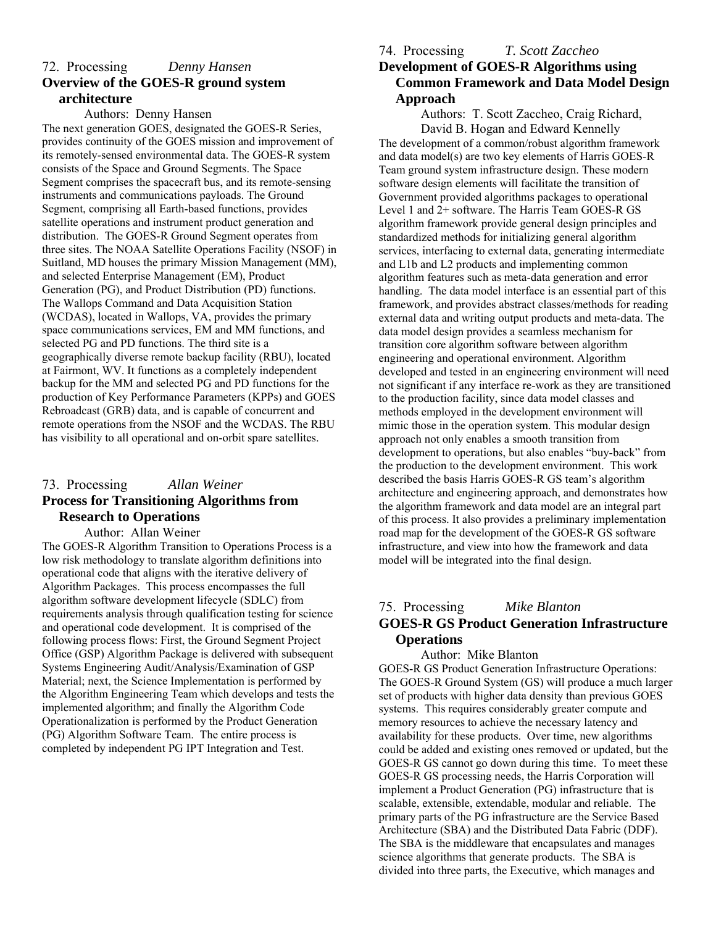# 72. Processing *Denny Hansen* **Overview of the GOES-R ground system architecture**

Authors: Denny Hansen

The next generation GOES, designated the GOES-R Series, provides continuity of the GOES mission and improvement of its remotely-sensed environmental data. The GOES-R system consists of the Space and Ground Segments. The Space Segment comprises the spacecraft bus, and its remote-sensing instruments and communications payloads. The Ground Segment, comprising all Earth-based functions, provides satellite operations and instrument product generation and distribution. The GOES-R Ground Segment operates from three sites. The NOAA Satellite Operations Facility (NSOF) in Suitland, MD houses the primary Mission Management (MM), and selected Enterprise Management (EM), Product Generation (PG), and Product Distribution (PD) functions. The Wallops Command and Data Acquisition Station (WCDAS), located in Wallops, VA, provides the primary space communications services, EM and MM functions, and selected PG and PD functions. The third site is a geographically diverse remote backup facility (RBU), located at Fairmont, WV. It functions as a completely independent backup for the MM and selected PG and PD functions for the production of Key Performance Parameters (KPPs) and GOES Rebroadcast (GRB) data, and is capable of concurrent and remote operations from the NSOF and the WCDAS. The RBU has visibility to all operational and on-orbit spare satellites.

# 73. Processing *Allan Weiner* **Process for Transitioning Algorithms from Research to Operations**

# Author: Allan Weiner

The GOES-R Algorithm Transition to Operations Process is a low risk methodology to translate algorithm definitions into operational code that aligns with the iterative delivery of Algorithm Packages. This process encompasses the full algorithm software development lifecycle (SDLC) from requirements analysis through qualification testing for science and operational code development. It is comprised of the following process flows: First, the Ground Segment Project Office (GSP) Algorithm Package is delivered with subsequent Systems Engineering Audit/Analysis/Examination of GSP Material; next, the Science Implementation is performed by the Algorithm Engineering Team which develops and tests the implemented algorithm; and finally the Algorithm Code Operationalization is performed by the Product Generation (PG) Algorithm Software Team. The entire process is completed by independent PG IPT Integration and Test.

# 74. Processing *T. Scott Zaccheo*

# **Development of GOES-R Algorithms using Common Framework and Data Model Design Approach**

Authors: T. Scott Zaccheo, Craig Richard, David B. Hogan and Edward Kennelly

The development of a common/robust algorithm framework and data model(s) are two key elements of Harris GOES-R Team ground system infrastructure design. These modern software design elements will facilitate the transition of Government provided algorithms packages to operational Level 1 and 2+ software. The Harris Team GOES-R GS algorithm framework provide general design principles and standardized methods for initializing general algorithm services, interfacing to external data, generating intermediate and L1b and L2 products and implementing common algorithm features such as meta-data generation and error handling. The data model interface is an essential part of this framework, and provides abstract classes/methods for reading external data and writing output products and meta-data. The data model design provides a seamless mechanism for transition core algorithm software between algorithm engineering and operational environment. Algorithm developed and tested in an engineering environment will need not significant if any interface re-work as they are transitioned to the production facility, since data model classes and methods employed in the development environment will mimic those in the operation system. This modular design approach not only enables a smooth transition from development to operations, but also enables "buy-back" from the production to the development environment. This work described the basis Harris GOES-R GS team's algorithm architecture and engineering approach, and demonstrates how the algorithm framework and data model are an integral part of this process. It also provides a preliminary implementation road map for the development of the GOES-R GS software infrastructure, and view into how the framework and data model will be integrated into the final design.

# 75. Processing *Mike Blanton* **GOES-R GS Product Generation Infrastructure Operations**

#### Author: Mike Blanton

GOES-R GS Product Generation Infrastructure Operations: The GOES-R Ground System (GS) will produce a much larger set of products with higher data density than previous GOES systems. This requires considerably greater compute and memory resources to achieve the necessary latency and availability for these products. Over time, new algorithms could be added and existing ones removed or updated, but the GOES-R GS cannot go down during this time. To meet these GOES-R GS processing needs, the Harris Corporation will implement a Product Generation (PG) infrastructure that is scalable, extensible, extendable, modular and reliable. The primary parts of the PG infrastructure are the Service Based Architecture (SBA) and the Distributed Data Fabric (DDF). The SBA is the middleware that encapsulates and manages science algorithms that generate products. The SBA is divided into three parts, the Executive, which manages and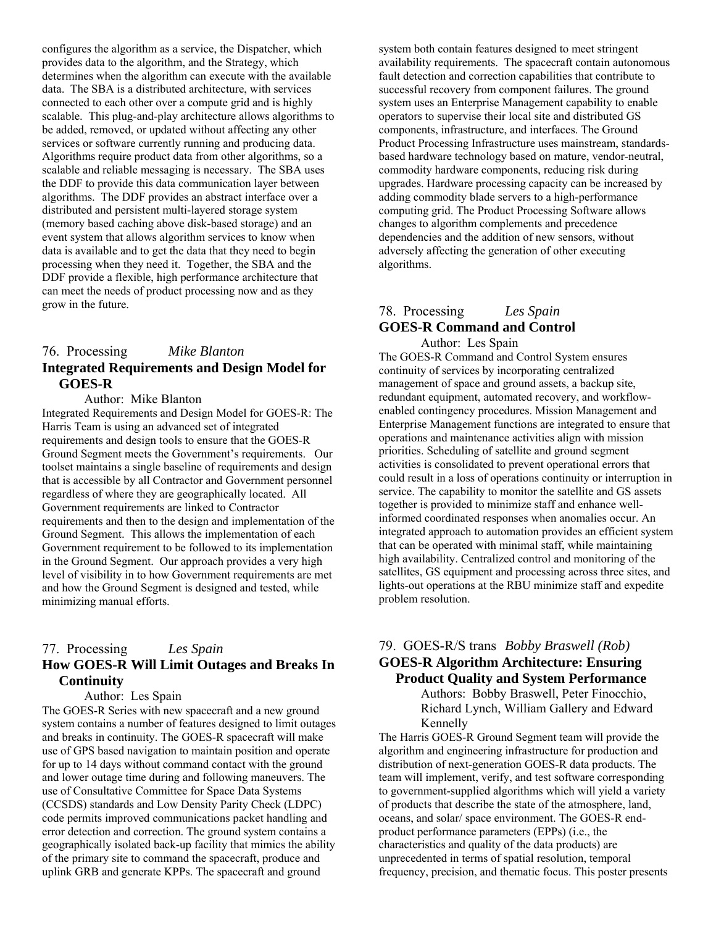configures the algorithm as a service, the Dispatcher, which provides data to the algorithm, and the Strategy, which determines when the algorithm can execute with the available data. The SBA is a distributed architecture, with services connected to each other over a compute grid and is highly scalable. This plug-and-play architecture allows algorithms to be added, removed, or updated without affecting any other services or software currently running and producing data. Algorithms require product data from other algorithms, so a scalable and reliable messaging is necessary. The SBA uses the DDF to provide this data communication layer between algorithms. The DDF provides an abstract interface over a distributed and persistent multi-layered storage system (memory based caching above disk-based storage) and an event system that allows algorithm services to know when data is available and to get the data that they need to begin processing when they need it. Together, the SBA and the DDF provide a flexible, high performance architecture that can meet the needs of product processing now and as they grow in the future.

#### 76. Processing *Mike Blanton*  **Integrated Requirements and Design Model for GOES-R**

#### Author: Mike Blanton

Integrated Requirements and Design Model for GOES-R: The Harris Team is using an advanced set of integrated requirements and design tools to ensure that the GOES-R Ground Segment meets the Government's requirements. Our toolset maintains a single baseline of requirements and design that is accessible by all Contractor and Government personnel regardless of where they are geographically located. All Government requirements are linked to Contractor requirements and then to the design and implementation of the Ground Segment. This allows the implementation of each Government requirement to be followed to its implementation in the Ground Segment. Our approach provides a very high level of visibility in to how Government requirements are met and how the Ground Segment is designed and tested, while minimizing manual efforts.

# 77. Processing *Les Spain* **How GOES-R Will Limit Outages and Breaks In Continuity**

#### Author: Les Spain

The GOES-R Series with new spacecraft and a new ground system contains a number of features designed to limit outages and breaks in continuity. The GOES-R spacecraft will make use of GPS based navigation to maintain position and operate for up to 14 days without command contact with the ground and lower outage time during and following maneuvers. The use of Consultative Committee for Space Data Systems (CCSDS) standards and Low Density Parity Check (LDPC) code permits improved communications packet handling and error detection and correction. The ground system contains a geographically isolated back-up facility that mimics the ability of the primary site to command the spacecraft, produce and uplink GRB and generate KPPs. The spacecraft and ground

system both contain features designed to meet stringent availability requirements. The spacecraft contain autonomous fault detection and correction capabilities that contribute to successful recovery from component failures. The ground system uses an Enterprise Management capability to enable operators to supervise their local site and distributed GS components, infrastructure, and interfaces. The Ground Product Processing Infrastructure uses mainstream, standardsbased hardware technology based on mature, vendor-neutral, commodity hardware components, reducing risk during upgrades. Hardware processing capacity can be increased by adding commodity blade servers to a high-performance computing grid. The Product Processing Software allows changes to algorithm complements and precedence dependencies and the addition of new sensors, without adversely affecting the generation of other executing algorithms.

# 78. Processing *Les Spain* **GOES-R Command and Control**

Author: Les Spain

The GOES-R Command and Control System ensures continuity of services by incorporating centralized management of space and ground assets, a backup site, redundant equipment, automated recovery, and workflowenabled contingency procedures. Mission Management and Enterprise Management functions are integrated to ensure that operations and maintenance activities align with mission priorities. Scheduling of satellite and ground segment activities is consolidated to prevent operational errors that could result in a loss of operations continuity or interruption in service. The capability to monitor the satellite and GS assets together is provided to minimize staff and enhance wellinformed coordinated responses when anomalies occur. An integrated approach to automation provides an efficient system that can be operated with minimal staff, while maintaining high availability. Centralized control and monitoring of the satellites, GS equipment and processing across three sites, and lights-out operations at the RBU minimize staff and expedite problem resolution.

# 79. GOES-R/S trans *Bobby Braswell (Rob)* **GOES-R Algorithm Architecture: Ensuring Product Quality and System Performance**

Authors: Bobby Braswell, Peter Finocchio, Richard Lynch, William Gallery and Edward Kennelly

The Harris GOES-R Ground Segment team will provide the algorithm and engineering infrastructure for production and distribution of next-generation GOES-R data products. The team will implement, verify, and test software corresponding to government-supplied algorithms which will yield a variety of products that describe the state of the atmosphere, land, oceans, and solar/ space environment. The GOES-R endproduct performance parameters (EPPs) (i.e., the characteristics and quality of the data products) are unprecedented in terms of spatial resolution, temporal frequency, precision, and thematic focus. This poster presents